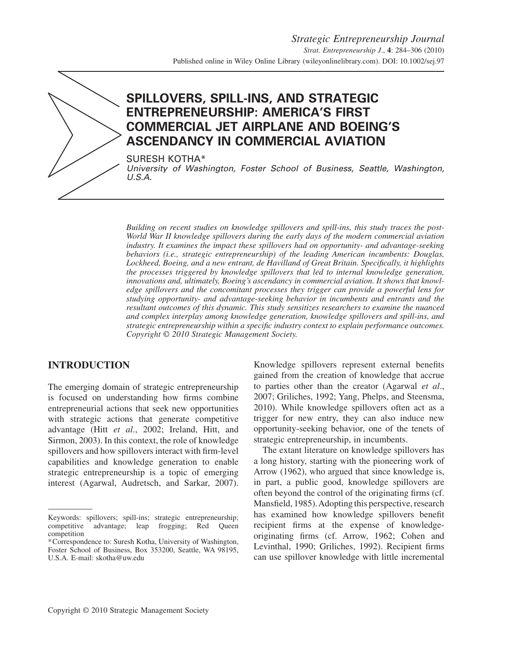

# **SPILLOVERS, SPILL-INS, AND STRATEGIC ENTREPRENEURSHIP: AMERICA'S FIRST COMMERCIAL JET AIRPLANE AND BOEING'S ASCENDANCY IN COMMERCIAL AVIATION**

SURESH KOTHA\* *University of Washington, Foster School of Business, Seattle, Washington, U.S.A.*

*Building on recent studies on knowledge spillovers and spill-ins, this study traces the post-World War II knowledge spillovers during the early days of the modern commercial aviation industry. It examines the impact these spillovers had on opportunity- and advantage-seeking behaviors (i.e., strategic entrepreneurship) of the leading American incumbents: Douglas,*  Lockheed, Boeing, and a new entrant, de Havilland of Great Britain. Specifically, it highlights *the processes triggered by knowledge spillovers that led to internal knowledge generation, innovations and, ultimately, Boeing's ascendancy in commercial aviation. It shows that knowledge spillovers and the concomitant processes they trigger can provide a powerful lens for studying opportunity- and advantage-seeking behavior in incumbents and entrants and the resultant outcomes of this dynamic. This study sensitizes researchers to examine the nuanced and complex interplay among knowledge generation, knowledge spillovers and spill-ins, and strategic entrepreneurship within a specific industry context to explain performance outcomes. Copyright © 2010 Strategic Management Society.*

# **INTRODUCTION**

The emerging domain of strategic entrepreneurship is focused on understanding how firms combine entrepreneurial actions that seek new opportunities with strategic actions that generate competitive advantage (Hitt *et al*., 2002; Ireland, Hitt, and Sirmon, 2003). In this context, the role of knowledge spillovers and how spillovers interact with firm-level capabilities and knowledge generation to enable strategic entrepreneurship is a topic of emerging interest (Agarwal, Audretsch, and Sarkar, 2007).

Knowledge spillovers represent external benefits gained from the creation of knowledge that accrue to parties other than the creator (Agarwal *et al*., 2007; Griliches, 1992; Yang, Phelps, and Steensma, 2010). While knowledge spillovers often act as a trigger for new entry, they can also induce new opportunity-seeking behavior, one of the tenets of strategic entrepreneurship, in incumbents.

The extant literature on knowledge spillovers has a long history, starting with the pioneering work of Arrow (1962), who argued that since knowledge is, in part, a public good, knowledge spillovers are often beyond the control of the originating firms (cf. Mansfield, 1985). Adopting this perspective, research has examined how knowledge spillovers benefit recipient firms at the expense of knowledgeoriginating firms (cf. Arrow, 1962; Cohen and Levinthal, 1990; Griliches, 1992). Recipient firms can use spillover knowledge with little incremental

Keywords: spillovers; spill-ins; strategic entrepreneurship; competitive advantage; leap frogging; Red Oueen advantage; leap frogging; Red Queen competition

<sup>\*</sup>Correspondence to: Suresh Kotha, University of Washington, Foster School of Business, Box 353200, Seattle, WA 98195, U.S.A. E-mail: skotha@uw.edu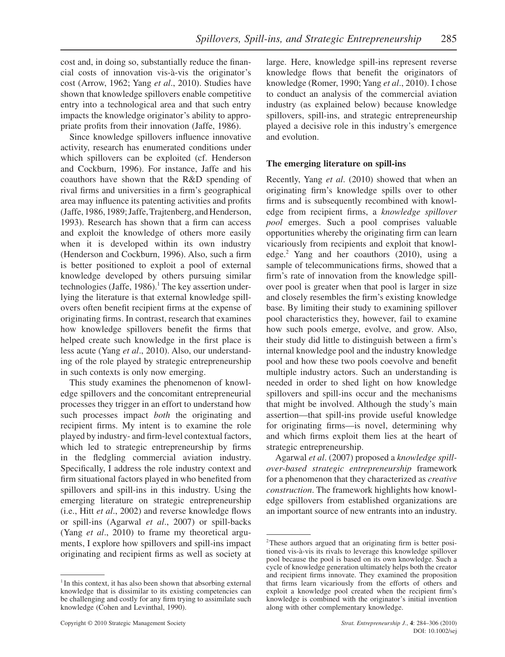cost and, in doing so, substantially reduce the financial costs of innovation vis-à-vis the originator's cost (Arrow, 1962; Yang *et al*., 2010). Studies have shown that knowledge spillovers enable competitive entry into a technological area and that such entry impacts the knowledge originator's ability to appropriate profits from their innovation (Jaffe, 1986).

Since knowledge spillovers influence innovative activity, research has enumerated conditions under which spillovers can be exploited (cf. Henderson and Cockburn, 1996). For instance, Jaffe and his coauthors have shown that the R&D spending of rival firms and universities in a firm's geographical area may influence its patenting activities and profits (Jaffe, 1986, 1989; Jaffe, Trajtenberg, and Henderson, 1993). Research has shown that a firm can access and exploit the knowledge of others more easily when it is developed within its own industry (Henderson and Cockburn, 1996). Also, such a firm is better positioned to exploit a pool of external knowledge developed by others pursuing similar technologies (Jaffe, 1986).<sup>1</sup> The key assertion underlying the literature is that external knowledge spillovers often benefit recipient firms at the expense of originating firms. In contrast, research that examines how knowledge spillovers benefit the firms that helped create such knowledge in the first place is less acute (Yang *et al*., 2010). Also, our understanding of the role played by strategic entrepreneurship in such contexts is only now emerging.

This study examines the phenomenon of knowledge spillovers and the concomitant entrepreneurial processes they trigger in an effort to understand how such processes impact *both* the originating and recipient firms. My intent is to examine the role played by industry- and firm-level contextual factors, which led to strategic entrepreneurship by firms in the fledgling commercial aviation industry. Specifically. I address the role industry context and firm situational factors played in who benefited from spillovers and spill-ins in this industry. Using the emerging literature on strategic entrepreneurship (i.e., Hitt *et al.*, 2002) and reverse knowledge flows or spill-ins (Agarwal *et al*., 2007) or spill-backs (Yang *et al*., 2010) to frame my theoretical arguments, I explore how spillovers and spill-ins impact originating and recipient firms as well as society at large. Here, knowledge spill-ins represent reverse knowledge flows that benefit the originators of knowledge (Romer, 1990; Yang *et al*., 2010). I chose to conduct an analysis of the commercial aviation industry (as explained below) because knowledge spillovers, spill-ins, and strategic entrepreneurship played a decisive role in this industry's emergence and evolution.

### **The emerging literature on spill-ins**

Recently, Yang *et al*. (2010) showed that when an originating firm's knowledge spills over to other firms and is subsequently recombined with knowledge from recipient firms, a *knowledge spillover pool* emerges. Such a pool comprises valuable opportunities whereby the originating firm can learn vicariously from recipients and exploit that knowledge.2 Yang and her coauthors (2010), using a sample of telecommunications firms, showed that a firm's rate of innovation from the knowledge spillover pool is greater when that pool is larger in size and closely resembles the firm's existing knowledge base. By limiting their study to examining spillover pool characteristics they, however, fail to examine how such pools emerge, evolve, and grow. Also, their study did little to distinguish between a firm's internal knowledge pool and the industry knowledge pool and how these two pools coevolve and benefit multiple industry actors. Such an understanding is needed in order to shed light on how knowledge spillovers and spill-ins occur and the mechanisms that might be involved. Although the study's main assertion—that spill-ins provide useful knowledge for originating firms—is novel, determining why and which firms exploit them lies at the heart of strategic entrepreneurship.

Agarwal *et al*. (2007) proposed a *knowledge spillover-based strategic entrepreneurship* framework for a phenomenon that they characterized as *creative construction*. The framework highlights how knowledge spillovers from established organizations are an important source of new entrants into an industry.

<sup>&</sup>lt;sup>1</sup> In this context, it has also been shown that absorbing external knowledge that is dissimilar to its existing competencies can be challenging and costly for any firm trying to assimilate such knowledge (Cohen and Levinthal, 1990).

<sup>&</sup>lt;sup>2</sup>These authors argued that an originating firm is better positioned vis-à-vis its rivals to leverage this knowledge spillover pool because the pool is based on its own knowledge. Such a cycle of knowledge generation ultimately helps both the creator and recipient firms innovate. They examined the proposition that firms learn vicariously from the efforts of others and exploit a knowledge pool created when the recipient firm's knowledge is combined with the originator's initial invention along with other complementary knowledge.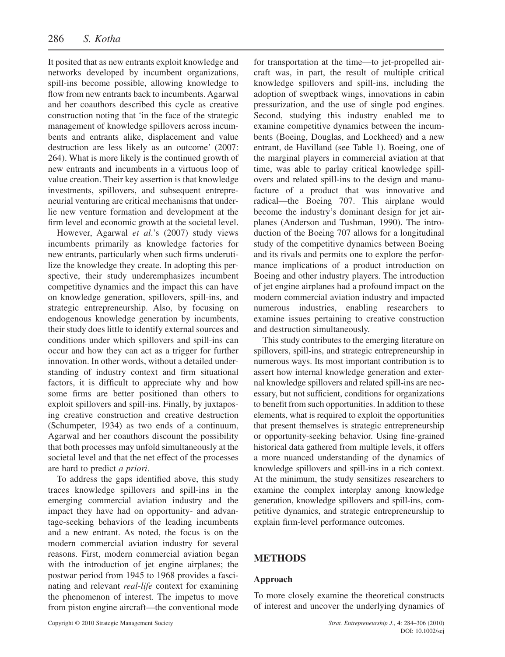It posited that as new entrants exploit knowledge and networks developed by incumbent organizations, spill-ins become possible, allowing knowledge to flow from new entrants back to incumbents. Agarwal and her coauthors described this cycle as creative construction noting that 'in the face of the strategic management of knowledge spillovers across incumbents and entrants alike, displacement and value destruction are less likely as an outcome' (2007: 264). What is more likely is the continued growth of new entrants and incumbents in a virtuous loop of value creation. Their key assertion is that knowledge investments, spillovers, and subsequent entrepreneurial venturing are critical mechanisms that underlie new venture formation and development at the firm level and economic growth at the societal level.

However, Agarwal *et al*.'s (2007) study views incumbents primarily as knowledge factories for new entrants, particularly when such firms underutilize the knowledge they create. In adopting this perspective, their study underemphasizes incumbent competitive dynamics and the impact this can have on knowledge generation, spillovers, spill-ins, and strategic entrepreneurship. Also, by focusing on endogenous knowledge generation by incumbents, their study does little to identify external sources and conditions under which spillovers and spill-ins can occur and how they can act as a trigger for further innovation. In other words, without a detailed understanding of industry context and firm situational factors, it is difficult to appreciate why and how some firms are better positioned than others to exploit spillovers and spill-ins. Finally, by juxtaposing creative construction and creative destruction (Schumpeter, 1934) as two ends of a continuum, Agarwal and her coauthors discount the possibility that both processes may unfold simultaneously at the societal level and that the net effect of the processes are hard to predict *a priori*.

To address the gaps identified above, this study traces knowledge spillovers and spill-ins in the emerging commercial aviation industry and the impact they have had on opportunity- and advantage-seeking behaviors of the leading incumbents and a new entrant. As noted, the focus is on the modern commercial aviation industry for several reasons. First, modern commercial aviation began with the introduction of jet engine airplanes; the postwar period from 1945 to 1968 provides a fascinating and relevant *real-life* context for examining the phenomenon of interest. The impetus to move from piston engine aircraft—the conventional mode

for transportation at the time—to jet-propelled aircraft was, in part, the result of multiple critical knowledge spillovers and spill-ins, including the adoption of sweptback wings, innovations in cabin pressurization, and the use of single pod engines. Second, studying this industry enabled me to examine competitive dynamics between the incumbents (Boeing, Douglas, and Lockheed) and a new entrant, de Havilland (see Table 1). Boeing, one of the marginal players in commercial aviation at that time, was able to parlay critical knowledge spillovers and related spill-ins to the design and manufacture of a product that was innovative and radical—the Boeing 707. This airplane would become the industry's dominant design for jet airplanes (Anderson and Tushman, 1990). The introduction of the Boeing 707 allows for a longitudinal study of the competitive dynamics between Boeing and its rivals and permits one to explore the performance implications of a product introduction on Boeing and other industry players. The introduction of jet engine airplanes had a profound impact on the modern commercial aviation industry and impacted numerous industries, enabling researchers to examine issues pertaining to creative construction and destruction simultaneously.

This study contributes to the emerging literature on spillovers, spill-ins, and strategic entrepreneurship in numerous ways. Its most important contribution is to assert how internal knowledge generation and external knowledge spillovers and related spill-ins are necessary, but not sufficient, conditions for organizations to benefit from such opportunities. In addition to these elements, what is required to exploit the opportunities that present themselves is strategic entrepreneurship or opportunity-seeking behavior. Using fine-grained historical data gathered from multiple levels, it offers a more nuanced understanding of the dynamics of knowledge spillovers and spill-ins in a rich context. At the minimum, the study sensitizes researchers to examine the complex interplay among knowledge generation, knowledge spillovers and spill-ins, competitive dynamics, and strategic entrepreneurship to explain firm-level performance outcomes.

# **METHODS**

### **Approach**

To more closely examine the theoretical constructs of interest and uncover the underlying dynamics of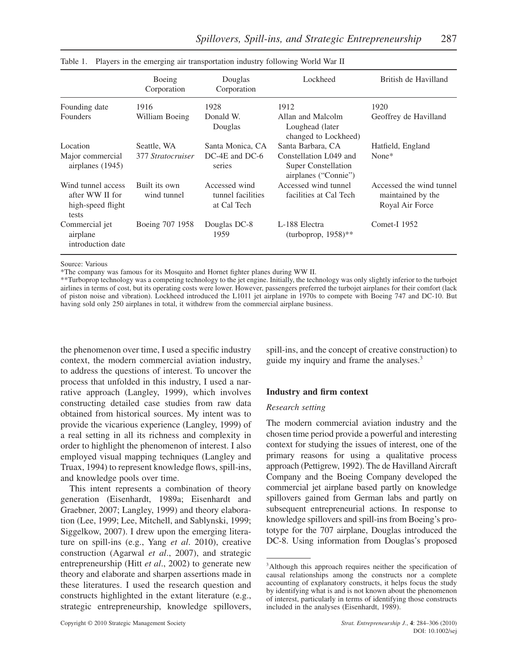|                                                                     | Boeing<br>Corporation        | Douglas<br>Corporation                            | Lockheed                                                                     | British de Havilland                                             |
|---------------------------------------------------------------------|------------------------------|---------------------------------------------------|------------------------------------------------------------------------------|------------------------------------------------------------------|
| Founding date                                                       | 1916                         | 1928                                              | 1912                                                                         | 1920                                                             |
| <b>Founders</b>                                                     | William Boeing               | Donald W.<br>Douglas                              | Allan and Malcolm<br>Loughead (later<br>changed to Lockheed)                 | Geoffrey de Havilland                                            |
| Location                                                            | Seattle, WA                  | Santa Monica, CA                                  | Santa Barbara, CA                                                            | Hatfield, England                                                |
| Major commercial<br>airplanes (1945)                                | 377 Stratocruiser            | DC-4E and DC-6<br>series                          | Constellation L049 and<br><b>Super Constellation</b><br>airplanes ("Connie") | None*                                                            |
| Wind tunnel access<br>after WW II for<br>high-speed flight<br>tests | Built its own<br>wind tunnel | Accessed wind<br>tunnel facilities<br>at Cal Tech | Accessed wind tunnel<br>facilities at Cal Tech                               | Accessed the wind tunnel<br>maintained by the<br>Royal Air Force |
| Commercial jet<br>airplane<br>introduction date                     | Boeing 707 1958              | Douglas DC-8<br>1959                              | L-188 Electra<br>(turboprop, $1958$ )**                                      | Comet-I 1952                                                     |

|  |  |  | Table 1. Players in the emerging air transportation industry following World War II |  |  |  |  |  |
|--|--|--|-------------------------------------------------------------------------------------|--|--|--|--|--|
|--|--|--|-------------------------------------------------------------------------------------|--|--|--|--|--|

Source: Various

\*The company was famous for its Mosquito and Hornet fighter planes during WW II.

\*\*Turboprop technology was a competing technology to the jet engine. Initially, the technology was only slightly inferior to the turbojet airlines in terms of cost, but its operating costs were lower. However, passengers preferred the turbojet airplanes for their comfort (lack of piston noise and vibration). Lockheed introduced the L1011 jet airplane in 1970s to compete with Boeing 747 and DC-10. But having sold only 250 airplanes in total, it withdrew from the commercial airplane business.

the phenomenon over time, I used a specific industry context, the modern commercial aviation industry, to address the questions of interest. To uncover the process that unfolded in this industry, I used a narrative approach (Langley, 1999), which involves constructing detailed case studies from raw data obtained from historical sources. My intent was to provide the vicarious experience (Langley, 1999) of a real setting in all its richness and complexity in order to highlight the phenomenon of interest. I also employed visual mapping techniques (Langley and Truax, 1994) to represent knowledge flows, spill-ins, and knowledge pools over time.

This intent represents a combination of theory generation (Eisenhardt, 1989a; Eisenhardt and Graebner, 2007; Langley, 1999) and theory elaboration (Lee, 1999; Lee, Mitchell, and Sablynski, 1999; Siggelkow, 2007). I drew upon the emerging literature on spill-ins (e.g., Yang *et al*. 2010), creative construction (Agarwal *et al*., 2007), and strategic entrepreneurship (Hitt *et al*., 2002) to generate new theory and elaborate and sharpen assertions made in these literatures. I used the research question and constructs highlighted in the extant literature (e.g., strategic entrepreneurship, knowledge spillovers, spill-ins, and the concept of creative construction) to guide my inquiry and frame the analyses.<sup>3</sup>

#### **Industry and firm context**

#### *Research setting*

The modern commercial aviation industry and the chosen time period provide a powerful and interesting context for studying the issues of interest, one of the primary reasons for using a qualitative process approach (Pettigrew, 1992). The de Havilland Aircraft Company and the Boeing Company developed the commercial jet airplane based partly on knowledge spillovers gained from German labs and partly on subsequent entrepreneurial actions. In response to knowledge spillovers and spill-ins from Boeing's prototype for the 707 airplane, Douglas introduced the DC-8. Using information from Douglas's proposed

<sup>&</sup>lt;sup>3</sup>Although this approach requires neither the specification of causal relationships among the constructs nor a complete accounting of explanatory constructs, it helps focus the study by identifying what is and is not known about the phenomenon of interest, particularly in terms of identifying those constructs included in the analyses (Eisenhardt, 1989).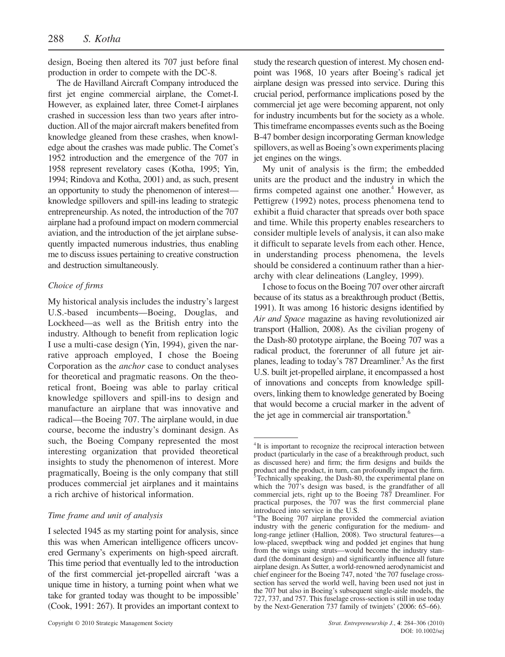design, Boeing then altered its 707 just before final production in order to compete with the DC-8.

The de Havilland Aircraft Company introduced the first jet engine commercial airplane, the Comet-I. However, as explained later, three Comet-I airplanes crashed in succession less than two years after introduction. All of the major aircraft makers benefited from knowledge gleaned from these crashes, when knowledge about the crashes was made public. The Comet's 1952 introduction and the emergence of the 707 in 1958 represent revelatory cases (Kotha, 1995; Yin, 1994; Rindova and Kotha, 2001) and, as such, present an opportunity to study the phenomenon of interest knowledge spillovers and spill-ins leading to strategic entrepreneurship. As noted, the introduction of the 707 airplane had a profound impact on modern commercial aviation, and the introduction of the jet airplane subsequently impacted numerous industries, thus enabling me to discuss issues pertaining to creative construction and destruction simultaneously.

#### *Choice of firms*

My historical analysis includes the industry's largest U.S.-based incumbents—Boeing, Douglas, and Lockheed—as well as the British entry into the industry. Although to benefit from replication logic I use a multi-case design (Yin, 1994), given the narrative approach employed, I chose the Boeing Corporation as the *anchor* case to conduct analyses for theoretical and pragmatic reasons. On the theoretical front, Boeing was able to parlay critical knowledge spillovers and spill-ins to design and manufacture an airplane that was innovative and radical—the Boeing 707. The airplane would, in due course, become the industry's dominant design. As such, the Boeing Company represented the most interesting organization that provided theoretical insights to study the phenomenon of interest. More pragmatically, Boeing is the only company that still produces commercial jet airplanes and it maintains a rich archive of historical information.

#### *Time frame and unit of analysis*

I selected 1945 as my starting point for analysis, since this was when American intelligence officers uncovered Germany's experiments on high-speed aircraft. This time period that eventually led to the introduction of the first commercial jet-propelled aircraft 'was a unique time in history, a turning point when what we take for granted today was thought to be impossible' (Cook, 1991: 267). It provides an important context to

study the research question of interest. My chosen endpoint was 1968, 10 years after Boeing's radical jet airplane design was pressed into service. During this crucial period, performance implications posed by the commercial jet age were becoming apparent, not only for industry incumbents but for the society as a whole. This timeframe encompasses events such as the Boeing B-47 bomber design incorporating German knowledge spillovers, as well as Boeing's own experiments placing jet engines on the wings.

My unit of analysis is the firm; the embedded units are the product and the industry in which the firms competed against one another. $4$  However, as Pettigrew (1992) notes, process phenomena tend to exhibit a fluid character that spreads over both space and time. While this property enables researchers to consider multiple levels of analysis, it can also make it difficult to separate levels from each other. Hence, in understanding process phenomena, the levels should be considered a continuum rather than a hierarchy with clear delineations (Langley, 1999).

I chose to focus on the Boeing 707 over other aircraft because of its status as a breakthrough product (Bettis, 1991). It was among 16 historic designs identified by *Air and Space* magazine as having revolutionized air transport (Hallion, 2008). As the civilian progeny of the Dash-80 prototype airplane, the Boeing 707 was a radical product, the forerunner of all future jet airplanes, leading to today's 787 Dreamliner.<sup>5</sup> As the first U.S. built jet-propelled airplane, it encompassed a host of innovations and concepts from knowledge spillovers, linking them to knowledge generated by Boeing that would become a crucial marker in the advent of the jet age in commercial air transportation.<sup>6</sup>

<sup>&</sup>lt;sup>4</sup>It is important to recognize the reciprocal interaction between product (particularly in the case of a breakthrough product, such as discussed here) and firm; the firm designs and builds the product and the product, in turn, can profoundly impact the firm. Technically speaking, the Dash-80, the experimental plane on which the  $707$ 's design was based, is the grandfather of all commercial jets, right up to the Boeing 787 Dreamliner. For practical purposes, the  $707$  was the first commercial plane introduced into service in the U.S.

<sup>&</sup>lt;sup>6</sup>The Boeing 707 airplane provided the commercial aviation industry with the generic configuration for the medium- and long-range jetliner (Hallion, 2008). Two structural features—a low-placed, sweptback wing and podded jet engines that hung from the wings using struts—would become the industry standard (the dominant design) and significantly influence all future airplane design. As Sutter, a world-renowned aerodynamicist and chief engineer for the Boeing 747, noted 'the 707 fuselage crosssection has served the world well, having been used not just in the 707 but also in Boeing's subsequent single-aisle models, the 727, 737, and 757. This fuselage cross-section is still in use today by the Next-Generation 737 family of twinjets' (2006: 65–66).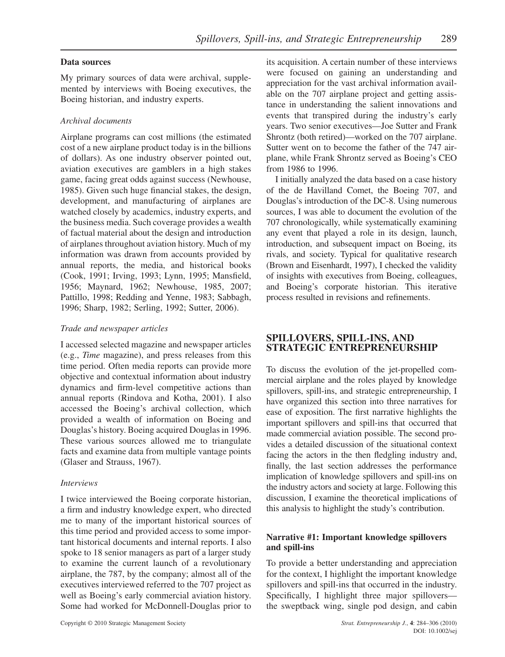#### **Data sources**

My primary sources of data were archival, supplemented by interviews with Boeing executives, the Boeing historian, and industry experts.

#### *Archival documents*

Airplane programs can cost millions (the estimated cost of a new airplane product today is in the billions of dollars). As one industry observer pointed out, aviation executives are gamblers in a high stakes game, facing great odds against success (Newhouse, 1985). Given such huge financial stakes, the design, development, and manufacturing of airplanes are watched closely by academics, industry experts, and the business media. Such coverage provides a wealth of factual material about the design and introduction of airplanes throughout aviation history. Much of my information was drawn from accounts provided by annual reports, the media, and historical books (Cook, 1991; Irving, 1993; Lynn, 1995; Mansfield, 1956; Maynard, 1962; Newhouse, 1985, 2007; Pattillo, 1998; Redding and Yenne, 1983; Sabbagh, 1996; Sharp, 1982; Serling, 1992; Sutter, 2006).

#### *Trade and newspaper articles*

I accessed selected magazine and newspaper articles (e.g., *Time* magazine), and press releases from this time period. Often media reports can provide more objective and contextual information about industry dynamics and firm-level competitive actions than annual reports (Rindova and Kotha, 2001). I also accessed the Boeing's archival collection, which provided a wealth of information on Boeing and Douglas's history. Boeing acquired Douglas in 1996. These various sources allowed me to triangulate facts and examine data from multiple vantage points (Glaser and Strauss, 1967).

### *Interviews*

I twice interviewed the Boeing corporate historian, a firm and industry knowledge expert, who directed me to many of the important historical sources of this time period and provided access to some important historical documents and internal reports. I also spoke to 18 senior managers as part of a larger study to examine the current launch of a revolutionary airplane, the 787, by the company; almost all of the executives interviewed referred to the 707 project as well as Boeing's early commercial aviation history. Some had worked for McDonnell-Douglas prior to its acquisition. A certain number of these interviews were focused on gaining an understanding and appreciation for the vast archival information available on the 707 airplane project and getting assistance in understanding the salient innovations and events that transpired during the industry's early years. Two senior executives—Joe Sutter and Frank Shrontz (both retired)—worked on the 707 airplane. Sutter went on to become the father of the 747 airplane, while Frank Shrontz served as Boeing's CEO from 1986 to 1996.

I initially analyzed the data based on a case history of the de Havilland Comet, the Boeing 707, and Douglas's introduction of the DC-8. Using numerous sources, I was able to document the evolution of the 707 chronologically, while systematically examining any event that played a role in its design, launch, introduction, and subsequent impact on Boeing, its rivals, and society. Typical for qualitative research (Brown and Eisenhardt, 1997), I checked the validity of insights with executives from Boeing, colleagues, and Boeing's corporate historian. This iterative process resulted in revisions and refinements.

### **SPILLOVERS, SPILL-INS, AND STRATEGIC ENTREPRENEURSHIP**

To discuss the evolution of the jet-propelled commercial airplane and the roles played by knowledge spillovers, spill-ins, and strategic entrepreneurship, I have organized this section into three narratives for ease of exposition. The first narrative highlights the important spillovers and spill-ins that occurred that made commercial aviation possible. The second provides a detailed discussion of the situational context facing the actors in the then fledgling industry and, finally, the last section addresses the performance implication of knowledge spillovers and spill-ins on the industry actors and society at large. Following this discussion, I examine the theoretical implications of this analysis to highlight the study's contribution.

#### **Narrative #1: Important knowledge spillovers and spill-ins**

To provide a better understanding and appreciation for the context, I highlight the important knowledge spillovers and spill-ins that occurred in the industry. Specifically. I highlight three major spillovers the sweptback wing, single pod design, and cabin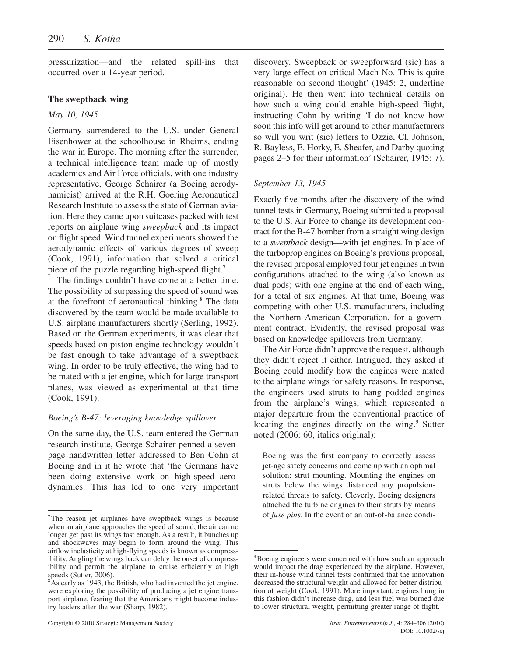pressurization—and the related spill-ins that occurred over a 14-year period.

#### **The sweptback wing**

#### *May 10, 1945*

Germany surrendered to the U.S. under General Eisenhower at the schoolhouse in Rheims, ending the war in Europe. The morning after the surrender, a technical intelligence team made up of mostly academics and Air Force officials, with one industry representative, George Schairer (a Boeing aerodynamicist) arrived at the R.H. Goering Aeronautical Research Institute to assess the state of German aviation. Here they came upon suitcases packed with test reports on airplane wing *sweepback* and its impact on flight speed. Wind tunnel experiments showed the aerodynamic effects of various degrees of sweep (Cook, 1991), information that solved a critical piece of the puzzle regarding high-speed flight.<sup>7</sup>

The findings couldn't have come at a better time. The possibility of surpassing the speed of sound was at the forefront of aeronautical thinking.<sup>8</sup> The data discovered by the team would be made available to U.S. airplane manufacturers shortly (Serling, 1992). Based on the German experiments, it was clear that speeds based on piston engine technology wouldn't be fast enough to take advantage of a sweptback wing. In order to be truly effective, the wing had to be mated with a jet engine, which for large transport planes, was viewed as experimental at that time (Cook, 1991).

#### *Boeing's B-47: leveraging knowledge spillover*

On the same day, the U.S. team entered the German research institute, George Schairer penned a sevenpage handwritten letter addressed to Ben Cohn at Boeing and in it he wrote that 'the Germans have been doing extensive work on high-speed aerodynamics. This has led to one very important

discovery. Sweepback or sweepforward (sic) has a very large effect on critical Mach No. This is quite reasonable on second thought' (1945: 2, underline original). He then went into technical details on how such a wing could enable high-speed flight, instructing Cohn by writing 'I do not know how soon this info will get around to other manufacturers so will you writ (sic) letters to Ozzie, Cl. Johnson, R. Bayless, E. Horky, E. Sheafer, and Darby quoting pages 2–5 for their information' (Schairer, 1945: 7).

#### *September 13, 1945*

Exactly five months after the discovery of the wind tunnel tests in Germany, Boeing submitted a proposal to the U.S. Air Force to change its development contract for the B-47 bomber from a straight wing design to a *sweptback* design—with jet engines. In place of the turboprop engines on Boeing's previous proposal, the revised proposal employed four jet engines in twin configurations attached to the wing (also known as dual pods) with one engine at the end of each wing, for a total of six engines. At that time, Boeing was competing with other U.S. manufacturers, including the Northern American Corporation, for a government contract. Evidently, the revised proposal was based on knowledge spillovers from Germany.

The Air Force didn't approve the request, although they didn't reject it either. Intrigued, they asked if Boeing could modify how the engines were mated to the airplane wings for safety reasons. In response, the engineers used struts to hang podded engines from the airplane's wings, which represented a major departure from the conventional practice of locating the engines directly on the wing.<sup>9</sup> Sutter noted (2006: 60, italics original):

Boeing was the first company to correctly assess jet-age safety concerns and come up with an optimal solution: strut mounting. Mounting the engines on struts below the wings distanced any propulsionrelated threats to safety. Cleverly, Boeing designers attached the turbine engines to their struts by means <sup>7</sup>The reason jet airplanes have sweptback wings is because of *fuse pins*. In the event of an out-of-balance condi-

when an airplane approaches the speed of sound, the air can no longer get past its wings fast enough. As a result, it bunches up and shockwaves may begin to form around the wing. This airflow inelasticity at high-flying speeds is known as compressibility. Angling the wings back can delay the onset of compressibility and permit the airplane to cruise efficiently at high speeds (Sutter, 2006).

<sup>&</sup>lt;sup>8</sup>As early as 1943, the British, who had invented the jet engine, were exploring the possibility of producing a jet engine transport airplane, fearing that the Americans might become industry leaders after the war (Sharp, 1982).

<sup>&</sup>lt;sup>9</sup> Boeing engineers were concerned with how such an approach would impact the drag experienced by the airplane. However, their in-house wind tunnel tests confirmed that the innovation decreased the structural weight and allowed for better distribution of weight (Cook, 1991). More important, engines hung in this fashion didn't increase drag, and less fuel was burned due to lower structural weight, permitting greater range of flight.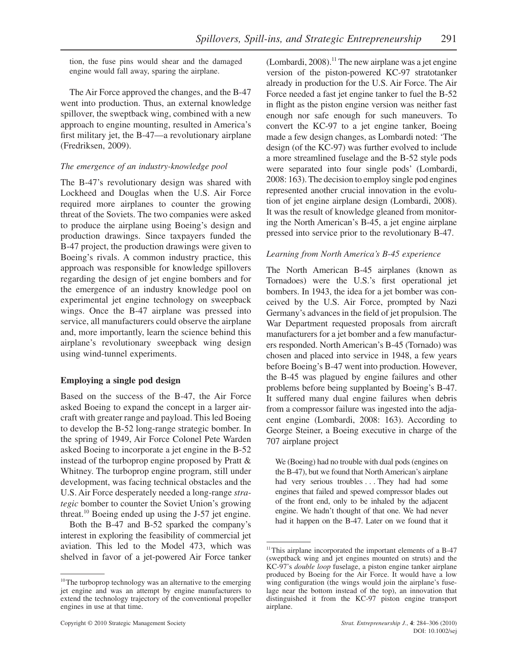tion, the fuse pins would shear and the damaged engine would fall away, sparing the airplane.

The Air Force approved the changes, and the B-47 went into production. Thus, an external knowledge spillover, the sweptback wing, combined with a new approach to engine mounting, resulted in America's first military jet, the B-47—a revolutionary airplane (Fredriksen, 2009).

### *The emergence of an industry-knowledge pool*

The B-47's revolutionary design was shared with Lockheed and Douglas when the U.S. Air Force required more airplanes to counter the growing threat of the Soviets. The two companies were asked to produce the airplane using Boeing's design and production drawings. Since taxpayers funded the B-47 project, the production drawings were given to Boeing's rivals. A common industry practice, this approach was responsible for knowledge spillovers regarding the design of jet engine bombers and for the emergence of an industry knowledge pool on experimental jet engine technology on sweepback wings. Once the B-47 airplane was pressed into service, all manufacturers could observe the airplane and, more importantly, learn the science behind this airplane's revolutionary sweepback wing design using wind-tunnel experiments.

### **Employing a single pod design**

Based on the success of the B-47, the Air Force asked Boeing to expand the concept in a larger aircraft with greater range and payload. This led Boeing to develop the B-52 long-range strategic bomber. In the spring of 1949, Air Force Colonel Pete Warden asked Boeing to incorporate a jet engine in the B-52 instead of the turboprop engine proposed by Pratt & Whitney. The turboprop engine program, still under development, was facing technical obstacles and the U.S. Air Force desperately needed a long-range *strategic* bomber to counter the Soviet Union's growing threat.<sup>10</sup> Boeing ended up using the J-57 jet engine.

Both the B-47 and B-52 sparked the company's interest in exploring the feasibility of commercial jet aviation. This led to the Model 473, which was shelved in favor of a jet-powered Air Force tanker  $(Lombardi, 2008).$ <sup>11</sup> The new airplane was a jet engine version of the piston-powered KC-97 stratotanker already in production for the U.S. Air Force. The Air Force needed a fast jet engine tanker to fuel the B-52 in flight as the piston engine version was neither fast enough nor safe enough for such maneuvers. To convert the KC-97 to a jet engine tanker, Boeing made a few design changes, as Lombardi noted: 'The design (of the KC-97) was further evolved to include a more streamlined fuselage and the B-52 style pods were separated into four single pods' (Lombardi, 2008: 163). The decision to employ single pod engines represented another crucial innovation in the evolution of jet engine airplane design (Lombardi, 2008). It was the result of knowledge gleaned from monitoring the North American's B-45, a jet engine airplane pressed into service prior to the revolutionary B-47.

### *Learning from North America's B-45 experience*

The North American B-45 airplanes (known as Tornadoes) were the U.S.'s first operational jet bombers. In 1943, the idea for a jet bomber was conceived by the U.S. Air Force, prompted by Nazi Germany's advances in the field of jet propulsion. The War Department requested proposals from aircraft manufacturers for a jet bomber and a few manufacturers responded. North American's B-45 (Tornado) was chosen and placed into service in 1948, a few years before Boeing's B-47 went into production. However, the B-45 was plagued by engine failures and other problems before being supplanted by Boeing's B-47. It suffered many dual engine failures when debris from a compressor failure was ingested into the adjacent engine (Lombardi, 2008: 163). According to George Steiner, a Boeing executive in charge of the 707 airplane project

We (Boeing) had no trouble with dual pods (engines on the B-47), but we found that North American's airplane had very serious troubles . . . They had had some engines that failed and spewed compressor blades out of the front end, only to be inhaled by the adjacent engine. We hadn't thought of that one. We had never had it happen on the B-47. Later on we found that it

<sup>&</sup>lt;sup>10</sup> The turboprop technology was an alternative to the emerging jet engine and was an attempt by engine manufacturers to extend the technology trajectory of the conventional propeller engines in use at that time.

<sup>&</sup>lt;sup>11</sup> This airplane incorporated the important elements of a B-47 (sweptback wing and jet engines mounted on struts) and the KC-97's *double loop* fuselage, a piston engine tanker airplane produced by Boeing for the Air Force. It would have a low wing configuration (the wings would join the airplane's fuselage near the bottom instead of the top), an innovation that distinguished it from the KC-97 piston engine transport airplane.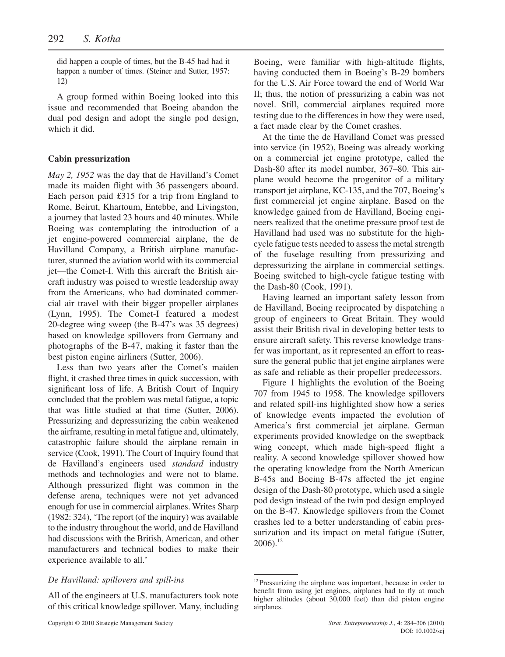did happen a couple of times, but the B-45 had had it happen a number of times. (Steiner and Sutter, 1957: 12)

A group formed within Boeing looked into this issue and recommended that Boeing abandon the dual pod design and adopt the single pod design, which it did.

### **Cabin pressurization**

*May 2, 1952* was the day that de Havilland's Comet made its maiden flight with 36 passengers aboard. Each person paid £315 for a trip from England to Rome, Beirut, Khartoum, Entebbe, and Livingston, a journey that lasted 23 hours and 40 minutes. While Boeing was contemplating the introduction of a jet engine-powered commercial airplane, the de Havilland Company, a British airplane manufacturer, stunned the aviation world with its commercial jet—the Comet-I. With this aircraft the British aircraft industry was poised to wrestle leadership away from the Americans, who had dominated commercial air travel with their bigger propeller airplanes (Lynn, 1995). The Comet-I featured a modest 20-degree wing sweep (the B-47's was 35 degrees) based on knowledge spillovers from Germany and photographs of the B-47, making it faster than the best piston engine airliners (Sutter, 2006).

Less than two years after the Comet's maiden flight, it crashed three times in quick succession, with significant loss of life. A British Court of Inquiry concluded that the problem was metal fatigue, a topic that was little studied at that time (Sutter, 2006). Pressurizing and depressurizing the cabin weakened the airframe, resulting in metal fatigue and, ultimately, catastrophic failure should the airplane remain in service (Cook, 1991). The Court of Inquiry found that de Havilland's engineers used *standard* industry methods and technologies and were not to blame. Although pressurized flight was common in the defense arena, techniques were not yet advanced enough for use in commercial airplanes. Writes Sharp (1982: 324), 'The report (of the inquiry) was available to the industry throughout the world, and de Havilland had discussions with the British, American, and other manufacturers and technical bodies to make their experience available to all.'

### *De Havilland: spillovers and spill-ins*

All of the engineers at U.S. manufacturers took note of this critical knowledge spillover. Many, including

Boeing, were familiar with high-altitude flights, having conducted them in Boeing's B-29 bombers for the U.S. Air Force toward the end of World War II; thus, the notion of pressurizing a cabin was not novel. Still, commercial airplanes required more testing due to the differences in how they were used, a fact made clear by the Comet crashes.

At the time the de Havilland Comet was pressed into service (in 1952), Boeing was already working on a commercial jet engine prototype, called the Dash-80 after its model number, 367–80. This airplane would become the progenitor of a military transport jet airplane, KC-135, and the 707, Boeing's first commercial jet engine airplane. Based on the knowledge gained from de Havilland, Boeing engineers realized that the onetime pressure proof test de Havilland had used was no substitute for the highcycle fatigue tests needed to assess the metal strength of the fuselage resulting from pressurizing and depressurizing the airplane in commercial settings. Boeing switched to high-cycle fatigue testing with the Dash-80 (Cook, 1991).

Having learned an important safety lesson from de Havilland, Boeing reciprocated by dispatching a group of engineers to Great Britain. They would assist their British rival in developing better tests to ensure aircraft safety. This reverse knowledge transfer was important, as it represented an effort to reassure the general public that jet engine airplanes were as safe and reliable as their propeller predecessors.

Figure 1 highlights the evolution of the Boeing 707 from 1945 to 1958. The knowledge spillovers and related spill-ins highlighted show how a series of knowledge events impacted the evolution of America's first commercial jet airplane. German experiments provided knowledge on the sweptback wing concept, which made high-speed flight a reality. A second knowledge spillover showed how the operating knowledge from the North American B-45s and Boeing B-47s affected the jet engine design of the Dash-80 prototype, which used a single pod design instead of the twin pod design employed on the B-47. Knowledge spillovers from the Comet crashes led to a better understanding of cabin pressurization and its impact on metal fatigue (Sutter,  $2006$ ).<sup>12</sup>

<sup>&</sup>lt;sup>12</sup> Pressurizing the airplane was important, because in order to benefit from using jet engines, airplanes had to fly at much higher altitudes (about 30,000 feet) than did piston engine airplanes.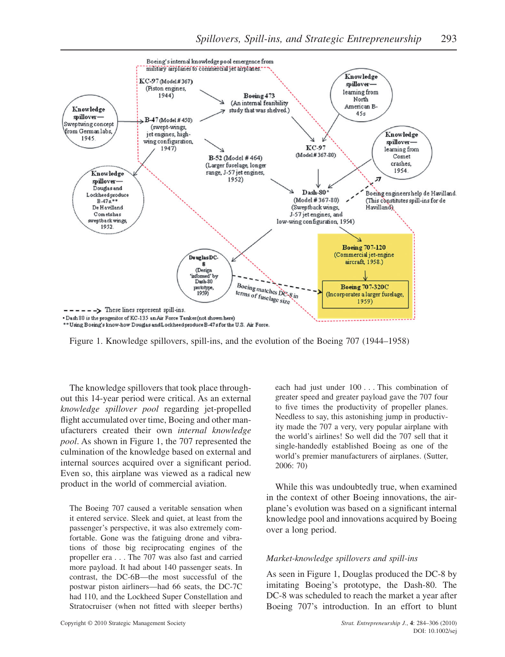

Figure 1. Knowledge spillovers, spill-ins, and the evolution of the Boeing 707 (1944–1958)

The knowledge spillovers that took place throughout this 14-year period were critical. As an external *knowledge spillover pool* regarding jet-propelled flight accumulated over time, Boeing and other manufacturers created their own *internal knowledge pool*. As shown in Figure 1, the 707 represented the culmination of the knowledge based on external and internal sources acquired over a significant period. Even so, this airplane was viewed as a radical new product in the world of commercial aviation.

The Boeing 707 caused a veritable sensation when it entered service. Sleek and quiet, at least from the passenger's perspective, it was also extremely comfortable. Gone was the fatiguing drone and vibrations of those big reciprocating engines of the propeller era . . . The 707 was also fast and carried more payload. It had about 140 passenger seats. In contrast, the DC-6B—the most successful of the postwar piston airliners—had 66 seats, the DC-7C had 110, and the Lockheed Super Constellation and Stratocruiser (when not fitted with sleeper berths) each had just under 100 . . . This combination of greater speed and greater payload gave the 707 four to five times the productivity of propeller planes. Needless to say, this astonishing jump in productivity made the 707 a very, very popular airplane with the world's airlines! So well did the 707 sell that it single-handedly established Boeing as one of the world's premier manufacturers of airplanes. (Sutter, 2006: 70)

While this was undoubtedly true, when examined in the context of other Boeing innovations, the airplane's evolution was based on a significant internal knowledge pool and innovations acquired by Boeing over a long period.

#### *Market-knowledge spillovers and spill-ins*

As seen in Figure 1, Douglas produced the DC-8 by imitating Boeing's prototype, the Dash-80. The DC-8 was scheduled to reach the market a year after Boeing 707's introduction. In an effort to blunt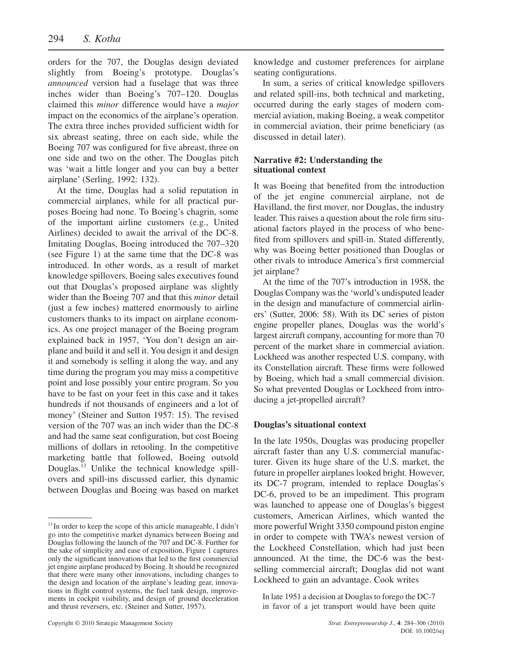orders for the 707, the Douglas design deviated slightly from Boeing's prototype. Douglas's *announced* version had a fuselage that was three inches wider than Boeing's 707–120. Douglas claimed this *minor* difference would have a *major* impact on the economics of the airplane's operation. The extra three inches provided sufficient width for six abreast seating, three on each side, while the Boeing 707 was configured for five abreast, three on one side and two on the other. The Douglas pitch was 'wait a little longer and you can buy a better airplane' (Serling, 1992: 132).

At the time, Douglas had a solid reputation in commercial airplanes, while for all practical purposes Boeing had none. To Boeing's chagrin, some of the important airline customers (e.g., United Airlines) decided to await the arrival of the DC-8. Imitating Douglas, Boeing introduced the 707–320 (see Figure 1) at the same time that the DC-8 was introduced. In other words, as a result of market knowledge spillovers, Boeing sales executives found out that Douglas's proposed airplane was slightly wider than the Boeing 707 and that this *minor* detail (just a few inches) mattered enormously to airline customers thanks to its impact on airplane economics. As one project manager of the Boeing program explained back in 1957, 'You don't design an airplane and build it and sell it. You design it and design it and somebody is selling it along the way, and any time during the program you may miss a competitive point and lose possibly your entire program. So you have to be fast on your feet in this case and it takes hundreds if not thousands of engineers and a lot of money' (Steiner and Sutton 1957: 15). The revised version of the 707 was an inch wider than the DC-8 and had the same seat configuration, but cost Boeing millions of dollars in retooling. In the competitive marketing battle that followed, Boeing outsold Douglas.13 Unlike the technical knowledge spillovers and spill-ins discussed earlier, this dynamic between Douglas and Boeing was based on market

knowledge and customer preferences for airplane seating configurations.

In sum, a series of critical knowledge spillovers and related spill-ins, both technical and marketing, occurred during the early stages of modern commercial aviation, making Boeing, a weak competitor in commercial aviation, their prime beneficiary (as discussed in detail later).

### **Narrative #2: Understanding the situational context**

It was Boeing that benefited from the introduction of the jet engine commercial airplane, not de Havilland, the first mover, nor Douglas, the industry leader. This raises a question about the role firm situational factors played in the process of who benefited from spillovers and spill-in. Stated differently, why was Boeing better positioned than Douglas or other rivals to introduce America's first commercial jet airplane?

At the time of the 707's introduction in 1958, the Douglas Company was the 'world's undisputed leader in the design and manufacture of commercial airliners' (Sutter, 2006: 58). With its DC series of piston engine propeller planes, Douglas was the world's largest aircraft company, accounting for more than 70 percent of the market share in commercial aviation. Lockheed was another respected U.S. company, with its Constellation aircraft. These firms were followed by Boeing, which had a small commercial division. So what prevented Douglas or Lockheed from introducing a jet-propelled aircraft?

### **Douglas's situational context**

In the late 1950s, Douglas was producing propeller aircraft faster than any U.S. commercial manufacturer. Given its huge share of the U.S. market, the future in propeller airplanes looked bright. However, its DC-7 program, intended to replace Douglas's DC-6, proved to be an impediment. This program was launched to appease one of Douglas's biggest customers, American Airlines, which wanted the more powerful Wright 3350 compound piston engine in order to compete with TWA's newest version of the Lockheed Constellation, which had just been announced. At the time, the DC-6 was the bestselling commercial aircraft; Douglas did not want Lockheed to gain an advantage. Cook writes

In late 1951 a decision at Douglas to forego the DC-7 in favor of a jet transport would have been quite

 $13$  In order to keep the scope of this article manageable. I didn't go into the competitive market dynamics between Boeing and Douglas following the launch of the 707 and DC-8. Further for the sake of simplicity and ease of exposition, Figure 1 captures only the significant innovations that led to the first commercial jet engine airplane produced by Boeing. It should be recognized that there were many other innovations, including changes to the design and location of the airplane's leading gear, innovations in flight control systems, the fuel tank design, improvements in cockpit visibility, and design of ground deceleration and thrust reversers, etc. (Steiner and Sutter, 1957).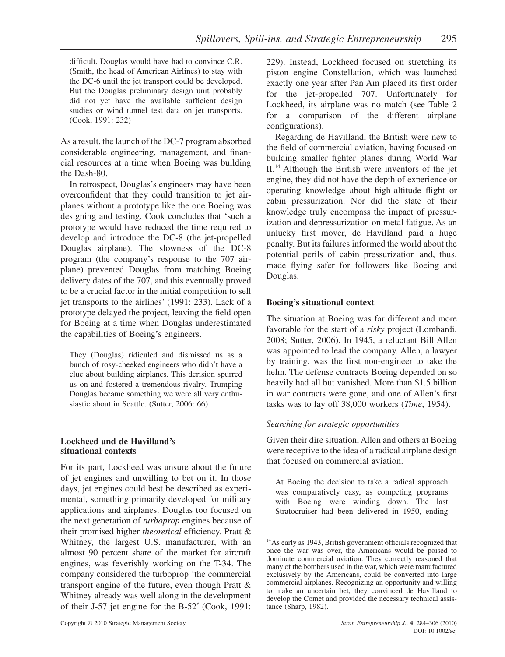difficult. Douglas would have had to convince C.R. (Smith, the head of American Airlines) to stay with the DC-6 until the jet transport could be developed. But the Douglas preliminary design unit probably did not yet have the available sufficient design studies or wind tunnel test data on jet transports. (Cook, 1991: 232)

As a result, the launch of the DC-7 program absorbed considerable engineering, management, and financial resources at a time when Boeing was building the Dash-80.

In retrospect, Douglas's engineers may have been overconfident that they could transition to jet airplanes without a prototype like the one Boeing was designing and testing. Cook concludes that 'such a prototype would have reduced the time required to develop and introduce the DC-8 (the jet-propelled Douglas airplane). The slowness of the DC-8 program (the company's response to the 707 airplane) prevented Douglas from matching Boeing delivery dates of the 707, and this eventually proved to be a crucial factor in the initial competition to sell jet transports to the airlines' (1991: 233). Lack of a prototype delayed the project, leaving the field open for Boeing at a time when Douglas underestimated the capabilities of Boeing's engineers.

They (Douglas) ridiculed and dismissed us as a bunch of rosy-cheeked engineers who didn't have a clue about building airplanes. This derision spurred us on and fostered a tremendous rivalry. Trumping Douglas became something we were all very enthusiastic about in Seattle. (Sutter, 2006: 66)

### **Lockheed and de Havilland's situational contexts**

For its part, Lockheed was unsure about the future of jet engines and unwilling to bet on it. In those days, jet engines could best be described as experimental, something primarily developed for military applications and airplanes. Douglas too focused on the next generation of *turboprop* engines because of their promised higher *theoretical* efficiency. Pratt & Whitney, the largest U.S. manufacturer, with an almost 90 percent share of the market for aircraft engines, was feverishly working on the T-34. The company considered the turboprop 'the commercial transport engine of the future, even though Pratt & Whitney already was well along in the development of their J-57 jet engine for the B-52′ (Cook, 1991: 229). Instead, Lockheed focused on stretching its piston engine Constellation, which was launched exactly one year after Pan Am placed its first order for the jet-propelled 707. Unfortunately for Lockheed, its airplane was no match (see Table 2 for a comparison of the different airplane configurations).

Regarding de Havilland, the British were new to the field of commercial aviation, having focused on building smaller fighter planes during World War II.14 Although the British were inventors of the jet engine, they did not have the depth of experience or operating knowledge about high-altitude flight or cabin pressurization. Nor did the state of their knowledge truly encompass the impact of pressurization and depressurization on metal fatigue. As an unlucky first mover, de Havilland paid a huge penalty. But its failures informed the world about the potential perils of cabin pressurization and, thus, made flying safer for followers like Boeing and Douglas.

### **Boeing's situational context**

The situation at Boeing was far different and more favorable for the start of a *risky* project (Lombardi, 2008; Sutter, 2006). In 1945, a reluctant Bill Allen was appointed to lead the company. Allen, a lawyer by training, was the first non-engineer to take the helm. The defense contracts Boeing depended on so heavily had all but vanished. More than \$1.5 billion in war contracts were gone, and one of Allen's first tasks was to lay off 38,000 workers (*Time*, 1954).

### *Searching for strategic opportunities*

Given their dire situation, Allen and others at Boeing were receptive to the idea of a radical airplane design that focused on commercial aviation.

At Boeing the decision to take a radical approach was comparatively easy, as competing programs with Boeing were winding down. The last Stratocruiser had been delivered in 1950, ending

<sup>&</sup>lt;sup>14</sup> As early as 1943, British government officials recognized that once the war was over, the Americans would be poised to dominate commercial aviation. They correctly reasoned that many of the bombers used in the war, which were manufactured exclusively by the Americans, could be converted into large commercial airplanes. Recognizing an opportunity and willing to make an uncertain bet, they convinced de Havilland to develop the Comet and provided the necessary technical assistance (Sharp, 1982).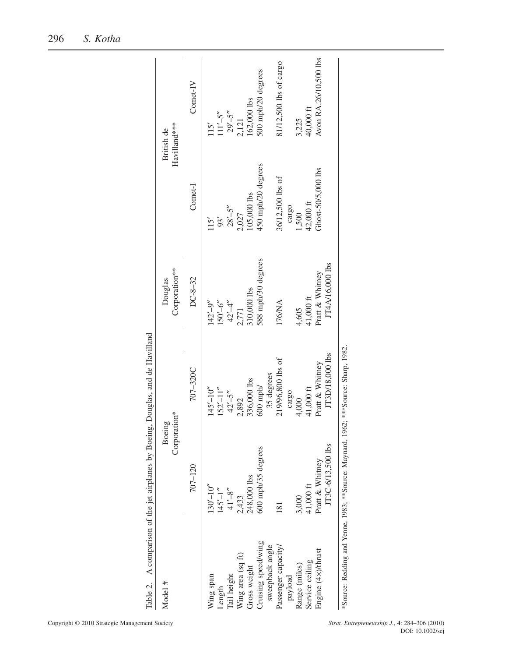| Model #             | Corporation*<br>Boeing |                   | Corporation**<br>Douglas |                    | $Havilland***$<br>British de |
|---------------------|------------------------|-------------------|--------------------------|--------------------|------------------------------|
|                     | 707-120                | 707-320C          | $DC-8-32$                | Comet-I            | Comet-IV                     |
| Wing span           | $130' - 10''$          | $145' - 10''$     | $142' - 9''$             | $\dot{5}$          | 15'                          |
| Length              | $145 - 1''$            | $[52' - 1]''$     | $150' - 6''$             | 93'                | $111 - 5''$                  |
| Tail height         | $41' - 8''$            | $42' - 5''$       | $42' - 4''$              | $28' - 5''$        | $29' - 5''$                  |
| Wing area (sq ft)   | 2,433                  | 2,892             | 2,771                    | 2,027              | 2,121                        |
| Gross weight        | 248,000 lbs            | 336,000 lbs       | 310,000 lbs              | 105,000 lbs        | 162,000 lbs                  |
| Cruising speed/wing | 600 mph/35 degrees     | $600 \text{ mph}$ | 588 mph/30 degrees       | 450 mph/20 degrees | 500 mph/20 degrees           |
| sweepback angle     |                        | 35 degrees        |                          |                    |                              |
| Passenger capacity/ | 81                     | 219/96,800 lbs of | 176/NA                   | 36/12,500 lbs of   | 81/12,500 lbs of cargo       |
| payload             |                        | cargo             |                          | cargo              |                              |
| Range (miles)       | 3,000                  | 4,000             | 4,605                    | 1,500              | 3,225                        |
| Service ceiling     | 41,000 ft              | 41,000 ft         | $41,000$ ft              | 42,000 ft          | $40,000$ ft                  |
| Engine (4x)/thrust  | Pratt & Whitney        | Pratt & Whitney   | Pratt & Whitney          | Ghost-50/5,000 lbs | Avon RA.26/10,500 lbs        |
|                     | IT3C-6/13,500 lbs      | JT3D/18,000 lbs   | JT4A/16,000 lbs          |                    |                              |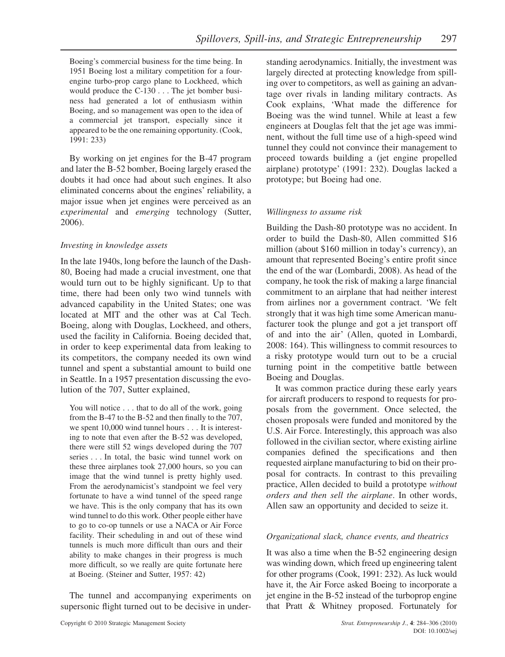Boeing's commercial business for the time being. In 1951 Boeing lost a military competition for a fourengine turbo-prop cargo plane to Lockheed, which would produce the C-130 . . . The jet bomber business had generated a lot of enthusiasm within Boeing, and so management was open to the idea of a commercial jet transport, especially since it appeared to be the one remaining opportunity. (Cook, 1991: 233)

By working on jet engines for the B-47 program and later the B-52 bomber, Boeing largely erased the doubts it had once had about such engines. It also eliminated concerns about the engines' reliability, a major issue when jet engines were perceived as an *experimental* and *emerging* technology (Sutter, 2006).

### *Investing in knowledge assets*

In the late 1940s, long before the launch of the Dash-80, Boeing had made a crucial investment, one that would turn out to be highly significant. Up to that time, there had been only two wind tunnels with advanced capability in the United States; one was located at MIT and the other was at Cal Tech. Boeing, along with Douglas, Lockheed, and others, used the facility in California. Boeing decided that, in order to keep experimental data from leaking to its competitors, the company needed its own wind tunnel and spent a substantial amount to build one in Seattle. In a 1957 presentation discussing the evolution of the 707, Sutter explained,

You will notice . . . that to do all of the work, going from the B-47 to the B-52 and then finally to the  $707$ , we spent 10,000 wind tunnel hours . . . It is interesting to note that even after the B-52 was developed, there were still 52 wings developed during the 707 series . . . In total, the basic wind tunnel work on these three airplanes took 27,000 hours, so you can image that the wind tunnel is pretty highly used. From the aerodynamicist's standpoint we feel very fortunate to have a wind tunnel of the speed range we have. This is the only company that has its own wind tunnel to do this work. Other people either have to go to co-op tunnels or use a NACA or Air Force facility. Their scheduling in and out of these wind tunnels is much more difficult than ours and their ability to make changes in their progress is much more difficult, so we really are quite fortunate here at Boeing. (Steiner and Sutter, 1957: 42)

The tunnel and accompanying experiments on supersonic flight turned out to be decisive in understanding aerodynamics. Initially, the investment was largely directed at protecting knowledge from spilling over to competitors, as well as gaining an advantage over rivals in landing military contracts. As Cook explains, 'What made the difference for Boeing was the wind tunnel. While at least a few engineers at Douglas felt that the jet age was imminent, without the full time use of a high-speed wind tunnel they could not convince their management to proceed towards building a (jet engine propelled airplane) prototype' (1991: 232). Douglas lacked a prototype; but Boeing had one.

### *Willingness to assume risk*

Building the Dash-80 prototype was no accident. In order to build the Dash-80, Allen committed \$16 million (about \$160 million in today's currency), an amount that represented Boeing's entire profit since the end of the war (Lombardi, 2008). As head of the company, he took the risk of making a large financial commitment to an airplane that had neither interest from airlines nor a government contract. 'We felt strongly that it was high time some American manufacturer took the plunge and got a jet transport off of and into the air' (Allen, quoted in Lombardi, 2008: 164). This willingness to commit resources to a risky prototype would turn out to be a crucial turning point in the competitive battle between Boeing and Douglas.

It was common practice during these early years for aircraft producers to respond to requests for proposals from the government. Once selected, the chosen proposals were funded and monitored by the U.S. Air Force. Interestingly, this approach was also followed in the civilian sector, where existing airline companies defined the specifications and then requested airplane manufacturing to bid on their proposal for contracts. In contrast to this prevailing practice, Allen decided to build a prototype *without orders and then sell the airplane*. In other words, Allen saw an opportunity and decided to seize it.

# *Organizational slack, chance events, and theatrics*

It was also a time when the B-52 engineering design was winding down, which freed up engineering talent for other programs (Cook, 1991: 232). As luck would have it, the Air Force asked Boeing to incorporate a jet engine in the B-52 instead of the turboprop engine that Pratt & Whitney proposed. Fortunately for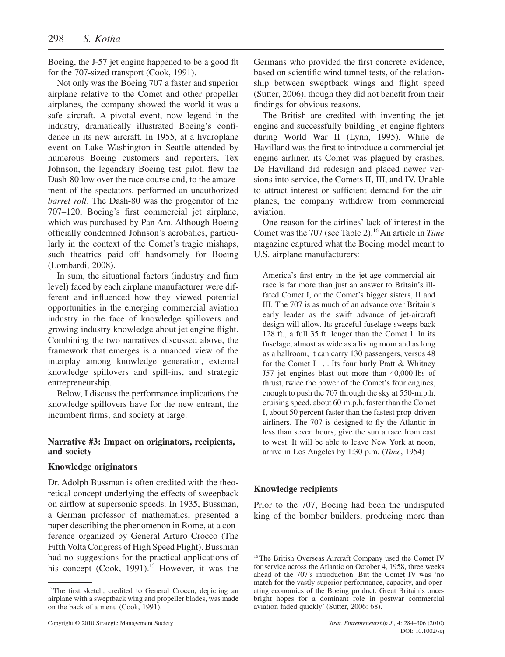Boeing, the J-57 jet engine happened to be a good fit for the 707-sized transport (Cook, 1991).

Not only was the Boeing 707 a faster and superior airplane relative to the Comet and other propeller airplanes, the company showed the world it was a safe aircraft. A pivotal event, now legend in the industry, dramatically illustrated Boeing's confidence in its new aircraft. In 1955, at a hydroplane event on Lake Washington in Seattle attended by numerous Boeing customers and reporters, Tex Johnson, the legendary Boeing test pilot, flew the Dash-80 low over the race course and, to the amazement of the spectators, performed an unauthorized *barrel roll*. The Dash-80 was the progenitor of the 707–120, Boeing's first commercial jet airplane, which was purchased by Pan Am. Although Boeing officially condemned Johnson's acrobatics, particularly in the context of the Comet's tragic mishaps, such theatrics paid off handsomely for Boeing (Lombardi, 2008).

In sum, the situational factors (industry and firm level) faced by each airplane manufacturer were different and influenced how they viewed potential opportunities in the emerging commercial aviation industry in the face of knowledge spillovers and growing industry knowledge about jet engine flight. Combining the two narratives discussed above, the framework that emerges is a nuanced view of the interplay among knowledge generation, external knowledge spillovers and spill-ins, and strategic entrepreneurship.

Below, I discuss the performance implications the knowledge spillovers have for the new entrant, the incumbent firms, and society at large.

#### **Narrative #3: Impact on originators, recipients, and society**

#### **Knowledge originators**

Dr. Adolph Bussman is often credited with the theoretical concept underlying the effects of sweepback on airflow at supersonic speeds. In 1935, Bussman, a German professor of mathematics, presented a paper describing the phenomenon in Rome, at a conference organized by General Arturo Crocco (The Fifth Volta Congress of High Speed Flight). Bussman had no suggestions for the practical applications of his concept  $(Cook, 1991).$ <sup>15</sup> However, it was the Germans who provided the first concrete evidence, based on scientific wind tunnel tests, of the relationship between sweptback wings and flight speed (Sutter, 2006), though they did not benefit from their findings for obvious reasons.

The British are credited with inventing the jet engine and successfully building jet engine fighters during World War II (Lynn, 1995). While de Havilland was the first to introduce a commercial jet engine airliner, its Comet was plagued by crashes. De Havilland did redesign and placed newer versions into service, the Comets II, III, and IV. Unable to attract interest or sufficient demand for the airplanes, the company withdrew from commercial aviation.

One reason for the airlines' lack of interest in the Comet was the 707 (see Table 2).16 An article in *Time* magazine captured what the Boeing model meant to U.S. airplane manufacturers:

America's first entry in the jet-age commercial air race is far more than just an answer to Britain's illfated Comet I, or the Comet's bigger sisters, II and III. The 707 is as much of an advance over Britain's early leader as the swift advance of jet-aircraft design will allow. Its graceful fuselage sweeps back 128 ft., a full 35 ft. longer than the Comet I. In its fuselage, almost as wide as a living room and as long as a ballroom, it can carry 130 passengers, versus 48 for the Comet I . . . Its four burly Pratt & Whitney J57 jet engines blast out more than 40,000 lbs of thrust, twice the power of the Comet's four engines, enough to push the 707 through the sky at 550-m.p.h. cruising speed, about 60 m.p.h. faster than the Comet I, about 50 percent faster than the fastest prop-driven airliners. The 707 is designed to fly the Atlantic in less than seven hours, give the sun a race from east to west. It will be able to leave New York at noon, arrive in Los Angeles by 1:30 p.m. (*Time*, 1954)

#### **Knowledge recipients**

Prior to the 707, Boeing had been the undisputed king of the bomber builders, producing more than

<sup>&</sup>lt;sup>15</sup> The first sketch, credited to General Crocco, depicting an airplane with a sweptback wing and propeller blades, was made on the back of a menu (Cook, 1991).

<sup>&</sup>lt;sup>16</sup> The British Overseas Aircraft Company used the Comet IV for service across the Atlantic on October 4, 1958, three weeks ahead of the 707's introduction. But the Comet IV was 'no match for the vastly superior performance, capacity, and operating economics of the Boeing product. Great Britain's oncebright hopes for a dominant role in postwar commercial aviation faded quickly' (Sutter, 2006: 68).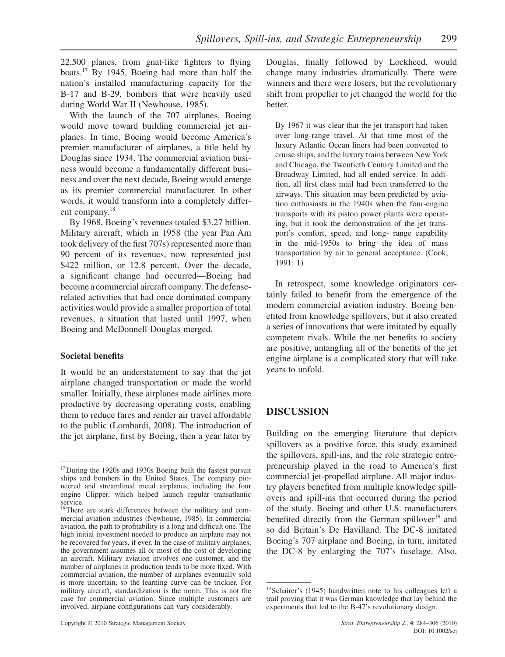$22,500$  planes, from gnat-like fighters to flying boats.17 By 1945, Boeing had more than half the nation's installed manufacturing capacity for the B-17 and B-29, bombers that were heavily used during World War II (Newhouse, 1985).

With the launch of the 707 airplanes, Boeing would move toward building commercial jet airplanes. In time, Boeing would become America's premier manufacturer of airplanes, a title held by Douglas since 1934. The commercial aviation business would become a fundamentally different business and over the next decade, Boeing would emerge as its premier commercial manufacturer. In other words, it would transform into a completely different company.<sup>18</sup>

By 1968, Boeing's revenues totaled \$3.27 billion. Military aircraft, which in 1958 (the year Pan Am took delivery of the first 707s) represented more than 90 percent of its revenues, now represented just \$422 million, or 12.8 percent. Over the decade, a significant change had occurred—Boeing had become a commercial aircraft company. The defenserelated activities that had once dominated company activities would provide a smaller proportion of total revenues, a situation that lasted until 1997, when Boeing and McDonnell-Douglas merged.

### **Societal benefits**

It would be an understatement to say that the jet airplane changed transportation or made the world smaller. Initially, these airplanes made airlines more productive by decreasing operating costs, enabling them to reduce fares and render air travel affordable to the public (Lombardi, 2008). The introduction of the jet airplane, first by Boeing, then a year later by

Douglas, finally followed by Lockheed, would change many industries dramatically. There were winners and there were losers, but the revolutionary shift from propeller to jet changed the world for the better.

By 1967 it was clear that the jet transport had taken over long-range travel. At that time most of the luxury Atlantic Ocean liners had been converted to cruise ships, and the luxury trains between New York and Chicago, the Twentieth Century Limited and the Broadway Limited, had all ended service. In addition, all first class mail had been transferred to the airways. This situation may been predicted by aviation enthusiasts in the 1940s when the four-engine transports with its piston power plants were operating, but it took the demonstration of the jet transport's comfort, speed, and long- range capability in the mid-1950s to bring the idea of mass transportation by air to general acceptance. (Cook, 1991: 1)

In retrospect, some knowledge originators certainly failed to benefit from the emergence of the modern commercial aviation industry. Boeing benefited from knowledge spillovers, but it also created a series of innovations that were imitated by equally competent rivals. While the net benefits to society are positive, untangling all of the benefits of the jet engine airplane is a complicated story that will take years to unfold.

# **DISCUSSION**

Building on the emerging literature that depicts spillovers as a positive force, this study examined the spillovers, spill-ins, and the role strategic entrepreneurship played in the road to America's first commercial jet-propelled airplane. All major industry players benefited from multiple knowledge spillovers and spill-ins that occurred during the period of the study. Boeing and other U.S. manufacturers benefited directly from the German spillover $19$  and so did Britain's De Havilland. The DC-8 imitated Boeing's 707 airplane and Boeing, in turn, imitated the DC-8 by enlarging the 707's fuselage. Also,

<sup>&</sup>lt;sup>17</sup> During the 1920s and 1930s Boeing built the fastest pursuit ships and bombers in the United States. The company pioneered and streamlined metal airplanes, including the four engine Clipper, which helped launch regular transatlantic service.

<sup>&</sup>lt;sup>18</sup> There are stark differences between the military and commercial aviation industries (Newhouse, 1985). In commercial aviation, the path to profitability is a long and difficult one. The high initial investment needed to produce an airplane may not be recovered for years, if ever. In the case of military airplanes, the government assumes all or most of the cost of developing an aircraft. Military aviation involves one customer, and the number of airplanes in production tends to be more fixed. With commercial aviation, the number of airplanes eventually sold is more uncertain, so the learning curve can be trickier. For military aircraft, standardization is the norm. This is not the case for commercial aviation. Since multiple customers are involved, airplane configurations can vary considerably.

<sup>&</sup>lt;sup>19</sup> Schairer's (1945) handwritten note to his colleagues left a trail proving that it was German knowledge that lay behind the experiments that led to the B-47's revolutionary design.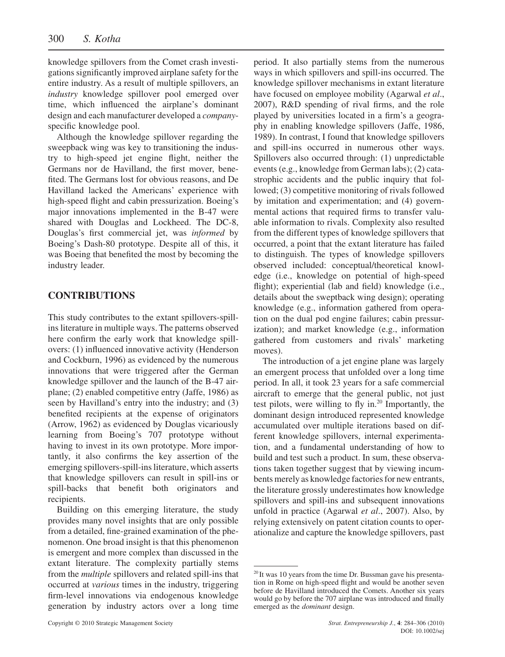knowledge spillovers from the Comet crash investigations significantly improved airplane safety for the entire industry. As a result of multiple spillovers, an *industry* knowledge spillover pool emerged over time, which influenced the airplane's dominant design and each manufacturer developed a *company*specific knowledge pool.

Although the knowledge spillover regarding the sweepback wing was key to transitioning the industry to high-speed jet engine flight, neither the Germans nor de Havilland, the first mover, benefited. The Germans lost for obvious reasons, and De Havilland lacked the Americans' experience with high-speed flight and cabin pressurization. Boeing's major innovations implemented in the B-47 were shared with Douglas and Lockheed. The DC-8, Douglas's first commercial jet, was *informed* by Boeing's Dash-80 prototype. Despite all of this, it was Boeing that benefited the most by becoming the industry leader.

### **CONTRIBUTIONS**

This study contributes to the extant spillovers-spillins literature in multiple ways. The patterns observed here confirm the early work that knowledge spillovers: (1) influenced innovative activity (Henderson and Cockburn, 1996) as evidenced by the numerous innovations that were triggered after the German knowledge spillover and the launch of the B-47 airplane; (2) enabled competitive entry (Jaffe, 1986) as seen by Havilland's entry into the industry; and (3) benefited recipients at the expense of originators (Arrow, 1962) as evidenced by Douglas vicariously learning from Boeing's 707 prototype without having to invest in its own prototype. More importantly, it also confirms the key assertion of the emerging spillovers-spill-ins literature, which asserts that knowledge spillovers can result in spill-ins or spill-backs that benefit both originators and recipients.

Building on this emerging literature, the study provides many novel insights that are only possible from a detailed, fine-grained examination of the phenomenon. One broad insight is that this phenomenon is emergent and more complex than discussed in the extant literature. The complexity partially stems from the *multiple* spillovers and related spill-ins that occurred at *various* times in the industry, triggering firm-level innovations via endogenous knowledge generation by industry actors over a long time

period. It also partially stems from the numerous ways in which spillovers and spill-ins occurred. The knowledge spillover mechanisms in extant literature have focused on employee mobility (Agarwal *et al*.,  $2007$ ), R&D spending of rival firms, and the role played by universities located in a firm's a geography in enabling knowledge spillovers (Jaffe, 1986, 1989). In contrast, I found that knowledge spillovers and spill-ins occurred in numerous other ways. Spillovers also occurred through: (1) unpredictable events (e.g., knowledge from German labs); (2) catastrophic accidents and the public inquiry that followed; (3) competitive monitoring of rivals followed by imitation and experimentation; and (4) governmental actions that required firms to transfer valuable information to rivals. Complexity also resulted from the different types of knowledge spillovers that occurred, a point that the extant literature has failed to distinguish. The types of knowledge spillovers observed included: conceptual/theoretical knowledge (i.e., knowledge on potential of high-speed flight); experiential (lab and field) knowledge (i.e., details about the sweptback wing design); operating knowledge (e.g., information gathered from operation on the dual pod engine failures; cabin pressurization); and market knowledge (e.g., information gathered from customers and rivals' marketing moves).

The introduction of a jet engine plane was largely an emergent process that unfolded over a long time period. In all, it took 23 years for a safe commercial aircraft to emerge that the general public, not just test pilots, were willing to fly in. $20$  Importantly, the dominant design introduced represented knowledge accumulated over multiple iterations based on different knowledge spillovers, internal experimentation, and a fundamental understanding of how to build and test such a product. In sum, these observations taken together suggest that by viewing incumbents merely as knowledge factories for new entrants, the literature grossly underestimates how knowledge spillovers and spill-ins and subsequent innovations unfold in practice (Agarwal *et al*., 2007). Also, by relying extensively on patent citation counts to operationalize and capture the knowledge spillovers, past

 $20$  It was 10 years from the time Dr. Bussman gave his presentation in Rome on high-speed flight and would be another seven before de Havilland introduced the Comets. Another six years would go by before the 707 airplane was introduced and finally emerged as the *dominant* design.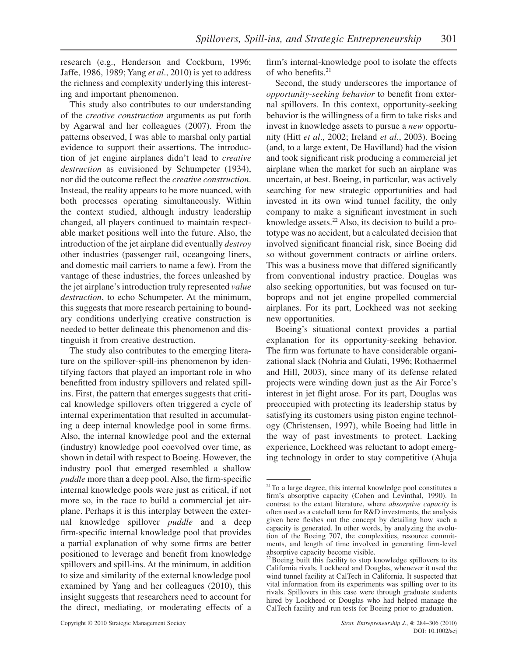research (e.g., Henderson and Cockburn, 1996; Jaffe, 1986, 1989; Yang *et al*., 2010) is yet to address the richness and complexity underlying this interesting and important phenomenon.

This study also contributes to our understanding of the *creative construction* arguments as put forth by Agarwal and her colleagues (2007). From the patterns observed, I was able to marshal only partial evidence to support their assertions. The introduction of jet engine airplanes didn't lead to *creative destruction* as envisioned by Schumpeter (1934), nor did the outcome reflect the *creative construction*. Instead, the reality appears to be more nuanced, with both processes operating simultaneously. Within the context studied, although industry leadership changed, all players continued to maintain respectable market positions well into the future. Also, the introduction of the jet airplane did eventually *destroy* other industries (passenger rail, oceangoing liners, and domestic mail carriers to name a few). From the vantage of these industries, the forces unleashed by the jet airplane's introduction truly represented *value destruction*, to echo Schumpeter. At the minimum, this suggests that more research pertaining to boundary conditions underlying creative construction is needed to better delineate this phenomenon and distinguish it from creative destruction.

The study also contributes to the emerging literature on the spillover-spill-ins phenomenon by identifying factors that played an important role in who benefitted from industry spillovers and related spillins. First, the pattern that emerges suggests that critical knowledge spillovers often triggered a cycle of internal experimentation that resulted in accumulating a deep internal knowledge pool in some firms. Also, the internal knowledge pool and the external (industry) knowledge pool coevolved over time, as shown in detail with respect to Boeing. However, the industry pool that emerged resembled a shallow *puddle* more than a deep pool. Also, the firm-specific internal knowledge pools were just as critical, if not more so, in the race to build a commercial jet airplane. Perhaps it is this interplay between the external knowledge spillover *puddle* and a deep firm-specific internal knowledge pool that provides a partial explanation of why some firms are better positioned to leverage and benefit from knowledge spillovers and spill-ins. At the minimum, in addition to size and similarity of the external knowledge pool examined by Yang and her colleagues (2010), this insight suggests that researchers need to account for the direct, mediating, or moderating effects of a

firm's internal-knowledge pool to isolate the effects of who benefits.<sup>21</sup>

Second, the study underscores the importance of *opportunity-seeking behavior* to benefit from external spillovers. In this context, opportunity-seeking behavior is the willingness of a firm to take risks and invest in knowledge assets to pursue a *new* opportunity (Hitt *et al*., 2002; Ireland *et al*., 2003). Boeing (and, to a large extent, De Havilland) had the vision and took significant risk producing a commercial jet airplane when the market for such an airplane was uncertain, at best. Boeing, in particular, was actively searching for new strategic opportunities and had invested in its own wind tunnel facility, the only company to make a significant investment in such knowledge assets.<sup>22</sup> Also, its decision to build a prototype was no accident, but a calculated decision that involved significant financial risk, since Boeing did so without government contracts or airline orders. This was a business move that differed significantly from conventional industry practice. Douglas was also seeking opportunities, but was focused on turboprops and not jet engine propelled commercial airplanes. For its part, Lockheed was not seeking new opportunities.

Boeing's situational context provides a partial explanation for its opportunity-seeking behavior. The firm was fortunate to have considerable organizational slack (Nohria and Gulati, 1996; Rothaermel and Hill, 2003), since many of its defense related projects were winding down just as the Air Force's interest in jet flight arose. For its part, Douglas was preoccupied with protecting its leadership status by satisfying its customers using piston engine technology (Christensen, 1997), while Boeing had little in the way of past investments to protect. Lacking experience, Lockheed was reluctant to adopt emerging technology in order to stay competitive (Ahuja

<sup>&</sup>lt;sup>21</sup> To a large degree, this internal knowledge pool constitutes a firm's absorptive capacity (Cohen and Levinthal, 1990). In contrast to the extant literature, where *absorptive capacity* is often used as a catchall term for R&D investments, the analysis given here fleshes out the concept by detailing how such a capacity is generated. In other words, by analyzing the evolution of the Boeing 707, the complexities, resource commitments, and length of time involved in generating firm-level absorptive capacity become visible.

<sup>&</sup>lt;sup>22</sup> Boeing built this facility to stop knowledge spillovers to its California rivals, Lockheed and Douglas, whenever it used the wind tunnel facility at CalTech in California. It suspected that vital information from its experiments was spilling over to its rivals. Spillovers in this case were through graduate students hired by Lockheed or Douglas who had helped manage the CalTech facility and run tests for Boeing prior to graduation.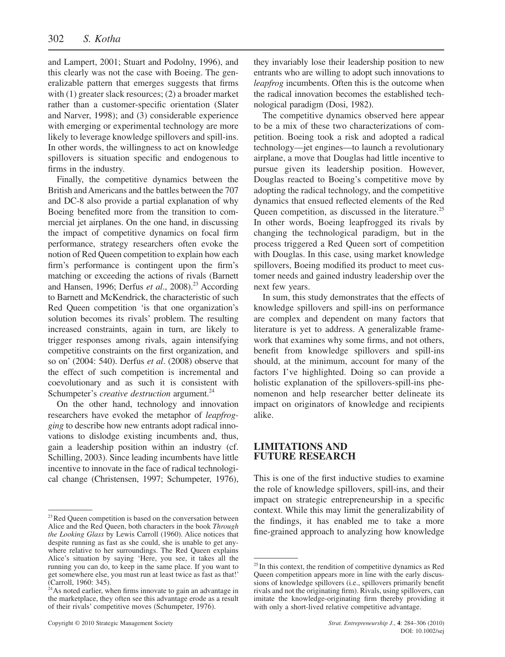and Lampert, 2001; Stuart and Podolny, 1996), and this clearly was not the case with Boeing. The generalizable pattern that emerges suggests that firms with (1) greater slack resources; (2) a broader market rather than a customer-specific orientation (Slater and Narver, 1998); and (3) considerable experience with emerging or experimental technology are more likely to leverage knowledge spillovers and spill-ins. In other words, the willingness to act on knowledge spillovers is situation specific and endogenous to firms in the industry.

Finally, the competitive dynamics between the British and Americans and the battles between the 707 and DC-8 also provide a partial explanation of why Boeing benefited more from the transition to commercial jet airplanes. On the one hand, in discussing the impact of competitive dynamics on focal firm performance, strategy researchers often evoke the notion of Red Queen competition to explain how each firm's performance is contingent upon the firm's matching or exceeding the actions of rivals (Barnett and Hansen, 1996; Derfus et al., 2008).<sup>23</sup> According to Barnett and McKendrick, the characteristic of such Red Queen competition 'is that one organization's solution becomes its rivals' problem. The resulting increased constraints, again in turn, are likely to trigger responses among rivals, again intensifying competitive constraints on the first organization, and so on' (2004: 540). Derfus *et al*. (2008) observe that the effect of such competition is incremental and coevolutionary and as such it is consistent with Schumpeter's *creative destruction* argument.<sup>24</sup>

On the other hand, technology and innovation researchers have evoked the metaphor of *leapfrogging* to describe how new entrants adopt radical innovations to dislodge existing incumbents and, thus, gain a leadership position within an industry (cf. Schilling, 2003). Since leading incumbents have little incentive to innovate in the face of radical technological change (Christensen, 1997; Schumpeter, 1976),

they invariably lose their leadership position to new entrants who are willing to adopt such innovations to *leapfrog* incumbents. Often this is the outcome when the radical innovation becomes the established technological paradigm (Dosi, 1982).

The competitive dynamics observed here appear to be a mix of these two characterizations of competition. Boeing took a risk and adopted a radical technology—jet engines—to launch a revolutionary airplane, a move that Douglas had little incentive to pursue given its leadership position. However, Douglas reacted to Boeing's competitive move by adopting the radical technology, and the competitive dynamics that ensued reflected elements of the Red Queen competition, as discussed in the literature.<sup>25</sup> In other words, Boeing leapfrogged its rivals by changing the technological paradigm, but in the process triggered a Red Queen sort of competition with Douglas. In this case, using market knowledge spillovers, Boeing modified its product to meet customer needs and gained industry leadership over the next few years.

In sum, this study demonstrates that the effects of knowledge spillovers and spill-ins on performance are complex and dependent on many factors that literature is yet to address. A generalizable framework that examines why some firms, and not others, benefit from knowledge spillovers and spill-ins should, at the minimum, account for many of the factors I've highlighted. Doing so can provide a holistic explanation of the spillovers-spill-ins phenomenon and help researcher better delineate its impact on originators of knowledge and recipients alike.

### **LIMITATIONS AND FUTURE RESEARCH**

This is one of the first inductive studies to examine the role of knowledge spillovers, spill-ins, and their impact on strategic entrepreneurship in a specific context. While this may limit the generalizability of the findings, it has enabled me to take a more fine-grained approach to analyzing how knowledge

<sup>&</sup>lt;sup>23</sup> Red Queen competition is based on the conversation between Alice and the Red Queen, both characters in the book *Through the Looking Glass* by Lewis Carroll (1960). Alice notices that despite running as fast as she could, she is unable to get anywhere relative to her surroundings. The Red Queen explains Alice's situation by saying 'Here, you see, it takes all the running you can do, to keep in the same place. If you want to get somewhere else, you must run at least twice as fast as that!' (Carroll, 1960: 345).

 $24$ As noted earlier, when firms innovate to gain an advantage in the marketplace, they often see this advantage erode as a result of their rivals' competitive moves (Schumpeter, 1976).

<sup>&</sup>lt;sup>25</sup> In this context, the rendition of competitive dynamics as Red Queen competition appears more in line with the early discussions of knowledge spillovers (i.e., spillovers primarily benefit rivals and not the originating firm). Rivals, using spillovers, can imitate the knowledge-originating firm thereby providing it with only a short-lived relative competitive advantage.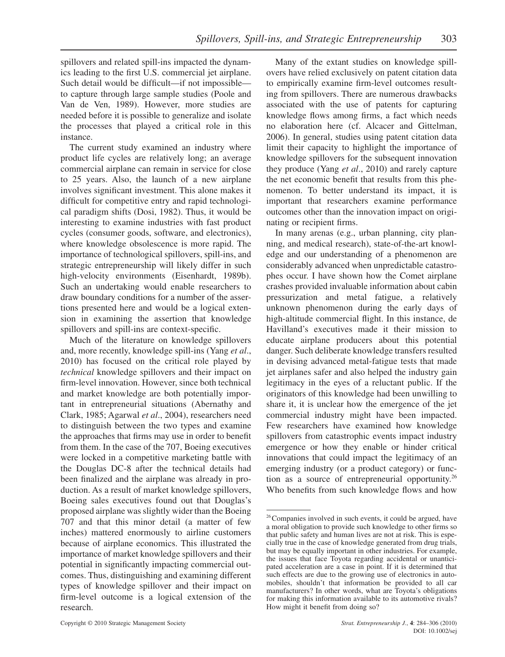spillovers and related spill-ins impacted the dynamics leading to the first U.S. commercial jet airplane. Such detail would be difficult—if not impossible to capture through large sample studies (Poole and Van de Ven, 1989). However, more studies are needed before it is possible to generalize and isolate the processes that played a critical role in this instance.

The current study examined an industry where product life cycles are relatively long; an average commercial airplane can remain in service for close to 25 years. Also, the launch of a new airplane involves significant investment. This alone makes it difficult for competitive entry and rapid technological paradigm shifts (Dosi, 1982). Thus, it would be interesting to examine industries with fast product cycles (consumer goods, software, and electronics), where knowledge obsolescence is more rapid. The importance of technological spillovers, spill-ins, and strategic entrepreneurship will likely differ in such high-velocity environments (Eisenhardt, 1989b). Such an undertaking would enable researchers to draw boundary conditions for a number of the assertions presented here and would be a logical extension in examining the assertion that knowledge spillovers and spill-ins are context-specific.

Much of the literature on knowledge spillovers and, more recently, knowledge spill-ins (Yang *et al*., 2010) has focused on the critical role played by *technical* knowledge spillovers and their impact on firm-level innovation. However, since both technical and market knowledge are both potentially important in entrepreneurial situations (Abernathy and Clark, 1985; Agarwal *et al*., 2004), researchers need to distinguish between the two types and examine the approaches that firms may use in order to benefit from them. In the case of the 707, Boeing executives were locked in a competitive marketing battle with the Douglas DC-8 after the technical details had been finalized and the airplane was already in production. As a result of market knowledge spillovers, Boeing sales executives found out that Douglas's proposed airplane was slightly wider than the Boeing 707 and that this minor detail (a matter of few inches) mattered enormously to airline customers because of airplane economics. This illustrated the importance of market knowledge spillovers and their potential in significantly impacting commercial outcomes. Thus, distinguishing and examining different types of knowledge spillover and their impact on firm-level outcome is a logical extension of the research.

Many of the extant studies on knowledge spillovers have relied exclusively on patent citation data to empirically examine firm-level outcomes resulting from spillovers. There are numerous drawbacks associated with the use of patents for capturing knowledge flows among firms, a fact which needs no elaboration here (cf. Alcacer and Gittelman, 2006). In general, studies using patent citation data limit their capacity to highlight the importance of knowledge spillovers for the subsequent innovation they produce (Yang *et al*., 2010) and rarely capture the net economic benefit that results from this phenomenon. To better understand its impact, it is important that researchers examine performance outcomes other than the innovation impact on originating or recipient firms.

In many arenas (e.g., urban planning, city planning, and medical research), state-of-the-art knowledge and our understanding of a phenomenon are considerably advanced when unpredictable catastrophes occur. I have shown how the Comet airplane crashes provided invaluable information about cabin pressurization and metal fatigue, a relatively unknown phenomenon during the early days of high-altitude commercial flight. In this instance, de Havilland's executives made it their mission to educate airplane producers about this potential danger. Such deliberate knowledge transfers resulted in devising advanced metal-fatigue tests that made jet airplanes safer and also helped the industry gain legitimacy in the eyes of a reluctant public. If the originators of this knowledge had been unwilling to share it, it is unclear how the emergence of the jet commercial industry might have been impacted. Few researchers have examined how knowledge spillovers from catastrophic events impact industry emergence or how they enable or hinder critical innovations that could impact the legitimacy of an emerging industry (or a product category) or function as a source of entrepreneurial opportunity.26 Who benefits from such knowledge flows and how

<sup>26</sup> Companies involved in such events, it could be argued, have a moral obligation to provide such knowledge to other firms so that public safety and human lives are not at risk. This is especially true in the case of knowledge generated from drug trials, but may be equally important in other industries. For example, the issues that face Toyota regarding accidental or unanticipated acceleration are a case in point. If it is determined that such effects are due to the growing use of electronics in automobiles, shouldn't that information be provided to all car manufacturers? In other words, what are Toyota's obligations for making this information available to its automotive rivals? How might it benefit from doing so?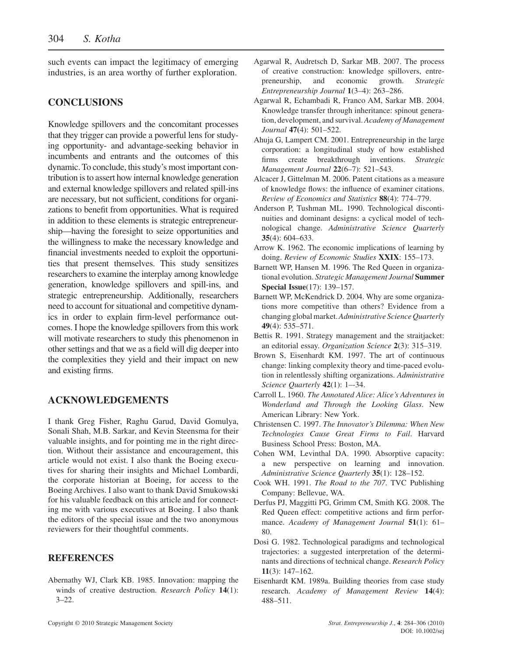such events can impact the legitimacy of emerging industries, is an area worthy of further exploration.

# **CONCLUSIONS**

Knowledge spillovers and the concomitant processes that they trigger can provide a powerful lens for studying opportunity- and advantage-seeking behavior in incumbents and entrants and the outcomes of this dynamic. To conclude, this study's most important contribution is to assert how internal knowledge generation and external knowledge spillovers and related spill-ins are necessary, but not sufficient, conditions for organizations to benefit from opportunities. What is required in addition to these elements is strategic entrepreneurship—having the foresight to seize opportunities and the willingness to make the necessary knowledge and financial investments needed to exploit the opportunities that present themselves. This study sensitizes researchers to examine the interplay among knowledge generation, knowledge spillovers and spill-ins, and strategic entrepreneurship. Additionally, researchers need to account for situational and competitive dynamics in order to explain firm-level performance outcomes. I hope the knowledge spillovers from this work will motivate researchers to study this phenomenon in other settings and that we as a field will dig deeper into the complexities they yield and their impact on new and existing firms.

### **ACKNOWLEDGEMENTS**

I thank Greg Fisher, Raghu Garud, David Gomulya, Sonali Shah, M.B. Sarkar, and Kevin Steensma for their valuable insights, and for pointing me in the right direction. Without their assistance and encouragement, this article would not exist. I also thank the Boeing executives for sharing their insights and Michael Lombardi, the corporate historian at Boeing, for access to the Boeing Archives. I also want to thank David Smukowski for his valuable feedback on this article and for connecting me with various executives at Boeing. I also thank the editors of the special issue and the two anonymous reviewers for their thoughtful comments.

#### **REFERENCES**

Abernathy WJ, Clark KB. 1985. Innovation: mapping the winds of creative destruction. *Research Policy* **14**(1): 3–22.

- Agarwal R, Audretsch D, Sarkar MB. 2007. The process of creative construction: knowledge spillovers, entrepreneurship, and economic growth. *Strategic Entrepreneurship Journal* **1**(3–4): 263–286.
- Agarwal R, Echambadi R, Franco AM, Sarkar MB. 2004. Knowledge transfer through inheritance: spinout generation, development, and survival. *Academy of Management Journal* **47(**4): 501–522.
- Ahuja G, Lampert CM. 2001. Entrepreneurship in the large corporation: a longitudinal study of how established firms create breakthrough inventions. *Strategic Management Journal* **22**(6–7): 521–543.
- Alcacer J, Gittelman M. 2006. Patent citations as a measure of knowledge flows: the influence of examiner citations. *Review of Economics and Statistics* **88**(4): 774–779.
- Anderson P, Tushman ML. 1990. Technological discontinuities and dominant designs: a cyclical model of technological change. *Administrative Science Quarterly* **35**(4): 604–633.
- Arrow K. 1962. The economic implications of learning by doing. *Review of Economic Studies* **XXIX**: 155–173.
- Barnett WP, Hansen M. 1996. The Red Queen in organizational evolution. *Strategic Management Journal* **Summer Special Issue**(17): 139–157.
- Barnett WP, McKendrick D. 2004. Why are some organizations more competitive than others? Evidence from a changing global market. *Administrative Science Quarterly* **49**(4): 535–571.
- Bettis R. 1991. Strategy management and the straitjacket: an editorial essay. *Organization Science* **2**(3): 315–319.
- Brown S, Eisenhardt KM. 1997. The art of continuous change: linking complexity theory and time-paced evolution in relentlessly shifting organizations. *Administrative Science Quarterly* **42**(1): 1–-34.
- Carroll L. 1960. *The Annotated Alice: Alice's Adventures in Wonderland and Through the Looking Glass*. New American Library: New York.
- Christensen C. 1997. *The Innovator's Dilemma: When New Technologies Cause Great Firms to Fail*. Harvard Business School Press: Boston, MA.
- Cohen WM, Levinthal DA. 1990. Absorptive capacity: a new perspective on learning and innovation. *Administrative Science Quarterly* **35**(1): 128–152.
- Cook WH. 1991. *The Road to the 707*. TVC Publishing Company: Bellevue, WA.
- Derfus PJ, Maggitti PG, Grimm CM, Smith KG. 2008. The Red Queen effect: competitive actions and firm performance. *Academy of Management Journal* **51**(1): 61– 80.
- Dosi G. 1982. Technological paradigms and technological trajectories: a suggested interpretation of the determinants and directions of technical change. *Research Policy* **11**(3): 147–162.
- Eisenhardt KM. 1989a. Building theories from case study research. *Academy of Management Review* **14**(4): 488–511.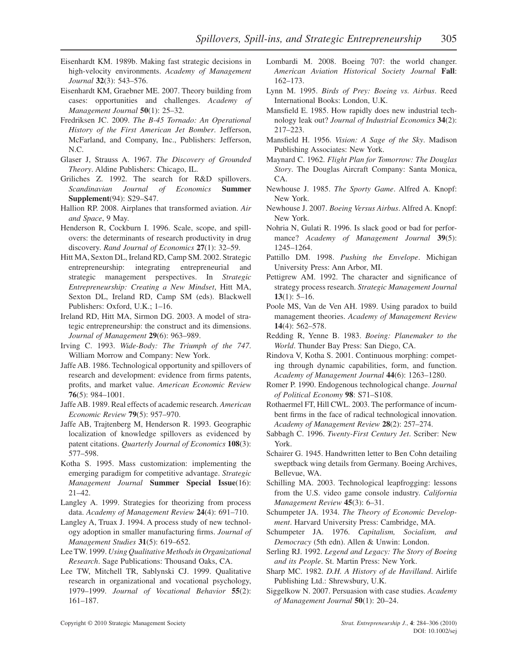- Eisenhardt KM. 1989b. Making fast strategic decisions in high-velocity environments. *Academy of Management Journal* **32**(3): 543–576.
- Eisenhardt KM, Graebner ME. 2007. Theory building from cases: opportunities and challenges. *Academy of Management Journal* **50**(1): 25–32.
- Fredriksen JC. 2009. *The B-45 Tornado: An Operational History of the First American Jet Bomber*. Jefferson, McFarland, and Company, Inc., Publishers: Jefferson, N.C.
- Glaser J, Strauss A. 1967. *The Discovery of Grounded Theory*. Aldine Publishers: Chicago, IL.
- Griliches Z. 1992. The search for R&D spillovers. *Scandinavian Journal of Economics* **Summer Supplement**(94): S29–S47.
- Hallion RP. 2008. Airplanes that transformed aviation. *Air and Space*, 9 May.
- Henderson R, Cockburn I. 1996. Scale, scope, and spillovers: the determinants of research productivity in drug discovery. *Rand Journal of Economics* **27**(1): 32–59.
- Hitt MA, Sexton DL, Ireland RD, Camp SM. 2002. Strategic entrepreneurship: integrating entrepreneurial and strategic management perspectives. In *Strategic Entrepreneurship: Creating a New Mindset*, Hitt MA, Sexton DL, Ireland RD, Camp SM (eds). Blackwell Publishers: Oxford, U.K.; 1–16.
- Ireland RD, Hitt MA, Sirmon DG. 2003. A model of strategic entrepreneurship: the construct and its dimensions. *Journal of Management* **29**(6): 963–989.
- Irving C. 1993. *Wide-Body: The Triumph of the 747*. William Morrow and Company: New York.
- Jaffe AB. 1986. Technological opportunity and spillovers of research and development: evidence from firms patents, profits, and market value. American Economic Review **76**(5): 984–1001.
- Jaffe AB. 1989. Real effects of academic research. *American Economic Review* **79**(5): 957–970.
- Jaffe AB, Trajtenberg M, Henderson R. 1993. Geographic localization of knowledge spillovers as evidenced by patent citations. *Quarterly Journal of Economics* **108**(3): 577–598.
- Kotha S. 1995. Mass customization: implementing the emerging paradigm for competitive advantage. *Strategic Management Journal* **Summer Special Issue**(16): 21–42.
- Langley A. 1999. Strategies for theorizing from process data. *Academy of Management Review* **24**(4): 691–710.
- Langley A, Truax J. 1994. A process study of new technology adoption in smaller manufacturing firms. *Journal of Management Studies* **31**(5): 619–652.
- Lee TW. 1999. *Using Qualitative Methods in Organizational Research*. Sage Publications: Thousand Oaks, CA.
- Lee TW, Mitchell TR, Sablynski CJ. 1999. Qualitative research in organizational and vocational psychology, 1979–1999. *Journal of Vocational Behavior* **55**(2): 161–187.
- Lombardi M. 2008. Boeing 707: the world changer. *American Aviation Historical Society Journal* **Fall**: 162–173.
- Lynn M. 1995. *Birds of Prey: Boeing vs. Airbus*. Reed International Books: London, U.K.
- Mansfield E. 1985. How rapidly does new industrial technology leak out? *Journal of Industrial Economics* **34**(2): 217–223.
- Mansfield H. 1956. *Vision: A Sage of the Sky*. Madison Publishing Associates: New York.
- Maynard C. 1962. *Flight Plan for Tomorrow: The Douglas Story*. The Douglas Aircraft Company: Santa Monica, CA.
- Newhouse J. 1985. *The Sporty Game*. Alfred A. Knopf: New York.
- Newhouse J. 2007. *Boeing Versus Airbus*. Alfred A. Knopf: New York.
- Nohria N, Gulati R. 1996. Is slack good or bad for performance? *Academy of Management Journal* **39**(5): 1245–1264.
- Pattillo DM. 1998. *Pushing the Envelope*. Michigan University Press: Ann Arbor, MI.
- Pettigrew AM. 1992. The character and significance of strategy process research. *Strategic Management Journal* **13**(1): 5–16.
- Poole MS, Van de Ven AH. 1989. Using paradox to build management theories. *Academy of Management Review* **14**(4): 562–578.
- Redding R, Yenne B. 1983. *Boeing: Planemaker to the World*. Thunder Bay Press: San Diego, CA.
- Rindova V, Kotha S. 2001. Continuous morphing: competing through dynamic capabilities, form, and function. *Academy of Management Journal* **44**(6): 1263–1280.
- Romer P. 1990. Endogenous technological change. *Journal of Political Economy* **98**: S71–S108.
- Rothaermel FT, Hill CWL. 2003. The performance of incumbent firms in the face of radical technological innovation. *Academy of Management Review* **28**(2): 257–274.
- Sabbagh C. 1996. *Twenty-First Century Jet*. Scriber: New York.
- Schairer G. 1945. Handwritten letter to Ben Cohn detailing sweptback wing details from Germany. Boeing Archives, Bellevue, WA.
- Schilling MA. 2003. Technological leapfrogging: lessons from the U.S. video game console industry. *California Management Review* **45**(3): 6–31.
- Schumpeter JA. 1934. *The Theory of Economic Development*. Harvard University Press: Cambridge, MA.
- Schumpeter JA. 1976. *Capitalism, Socialism, and Democracy* (5th edn). Allen & Unwin: London.
- Serling RJ. 1992. *Legend and Legacy: The Story of Boeing and its People*. St. Martin Press: New York.
- Sharp MC. 1982. *D.H. A History of de Havilland*. Airlife Publishing Ltd.: Shrewsbury, U.K.
- Siggelkow N. 2007. Persuasion with case studies. *Academy of Management Journal* **50**(1): 20–24.